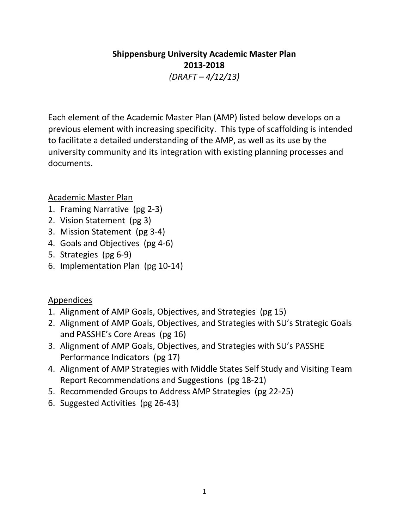# **Shippensburg University Academic Master Plan 2013-2018** *(DRAFT – 4/12/13)*

Each element of the Academic Master Plan (AMP) listed below develops on a previous element with increasing specificity. This type of scaffolding is intended to facilitate a detailed understanding of the AMP, as well as its use by the university community and its integration with existing planning processes and documents.

# Academic Master Plan

- 1. Framing Narrative (pg 2-3)
- 2. Vision Statement (pg 3)
- 3. Mission Statement (pg 3-4)
- 4. Goals and Objectives (pg 4-6)
- 5. Strategies (pg 6-9)
- 6. Implementation Plan (pg 10-14)

# Appendices

- 1. Alignment of AMP Goals, Objectives, and Strategies (pg 15)
- 2. Alignment of AMP Goals, Objectives, and Strategies with SU's Strategic Goals and PASSHE's Core Areas (pg 16)
- 3. Alignment of AMP Goals, Objectives, and Strategies with SU's PASSHE Performance Indicators (pg 17)
- 4. Alignment of AMP Strategies with Middle States Self Study and Visiting Team Report Recommendations and Suggestions (pg 18-21)
- 5. Recommended Groups to Address AMP Strategies (pg 22-25)
- 6. Suggested Activities (pg 26-43)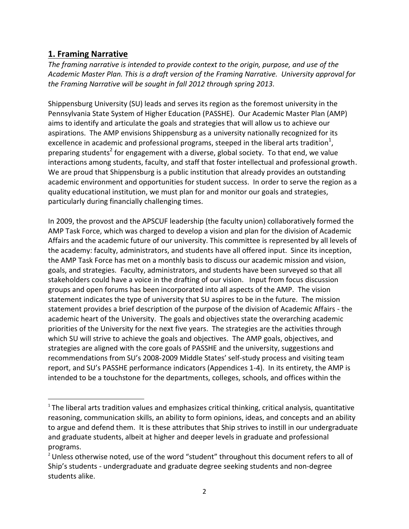# **1. Framing Narrative**

 $\overline{\phantom{a}}$ 

*The framing narrative is intended to provide context to the origin, purpose, and use of the Academic Master Plan. This is a draft version of the Framing Narrative. University approval for the Framing Narrative will be sought in fall 2012 through spring 2013.*

Shippensburg University (SU) leads and serves its region as the foremost university in the Pennsylvania State System of Higher Education (PASSHE). Our Academic Master Plan (AMP) aims to identify and articulate the goals and strategies that will allow us to achieve our aspirations. The AMP envisions Shippensburg as a university nationally recognized for its excellence in academic and professional programs, steeped in the liberal arts tradition $^1$ , preparing students<sup>2</sup> for engagement with a diverse, global society. To that end, we value interactions among students, faculty, and staff that foster intellectual and professional growth. We are proud that Shippensburg is a public institution that already provides an outstanding academic environment and opportunities for student success. In order to serve the region as a quality educational institution, we must plan for and monitor our goals and strategies, particularly during financially challenging times.

In 2009, the provost and the APSCUF leadership (the faculty union) collaboratively formed the AMP Task Force, which was charged to develop a vision and plan for the division of Academic Affairs and the academic future of our university. This committee is represented by all levels of the academy: faculty, administrators, and students have all offered input. Since its inception, the AMP Task Force has met on a monthly basis to discuss our academic mission and vision, goals, and strategies. Faculty, administrators, and students have been surveyed so that all stakeholders could have a voice in the drafting of our vision. Input from focus discussion groups and open forums has been incorporated into all aspects of the AMP. The vision statement indicates the type of university that SU aspires to be in the future. The mission statement provides a brief description of the purpose of the division of Academic Affairs - the academic heart of the University. The goals and objectives state the overarching academic priorities of the University for the next five years. The strategies are the activities through which SU will strive to achieve the goals and objectives. The AMP goals, objectives, and strategies are aligned with the core goals of PASSHE and the university, suggestions and recommendations from SU's 2008-2009 Middle States' self-study process and visiting team report, and SU's PASSHE performance indicators (Appendices 1-4). In its entirety, the AMP is intended to be a touchstone for the departments, colleges, schools, and offices within the

 $^1$ The liberal arts tradition values and emphasizes critical thinking, critical analysis, quantitative reasoning, communication skills, an ability to form opinions, ideas, and concepts and an ability to argue and defend them. It is these attributes that Ship strives to instill in our undergraduate and graduate students, albeit at higher and deeper levels in graduate and professional programs.

 $<sup>2</sup>$  Unless otherwise noted, use of the word "student" throughout this document refers to all of</sup> Ship's students - undergraduate and graduate degree seeking students and non-degree students alike.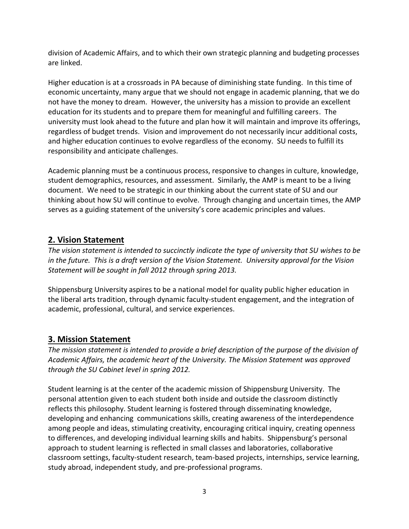division of Academic Affairs, and to which their own strategic planning and budgeting processes are linked.

Higher education is at a crossroads in PA because of diminishing state funding. In this time of economic uncertainty, many argue that we should not engage in academic planning, that we do not have the money to dream. However, the university has a mission to provide an excellent education for its students and to prepare them for meaningful and fulfilling careers. The university must look ahead to the future and plan how it will maintain and improve its offerings, regardless of budget trends. Vision and improvement do not necessarily incur additional costs, and higher education continues to evolve regardless of the economy. SU needs to fulfill its responsibility and anticipate challenges.

Academic planning must be a continuous process, responsive to changes in culture, knowledge, student demographics, resources, and assessment. Similarly, the AMP is meant to be a living document. We need to be strategic in our thinking about the current state of SU and our thinking about how SU will continue to evolve. Through changing and uncertain times, the AMP serves as a guiding statement of the university's core academic principles and values.

# **2. Vision Statement**

*The vision statement is intended to succinctly indicate the type of university that SU wishes to be in the future. This is a draft version of the Vision Statement. University approval for the Vision Statement will be sought in fall 2012 through spring 2013.*

Shippensburg University aspires to be a national model for quality public higher education in the liberal arts tradition, through dynamic faculty-student engagement, and the integration of academic, professional, cultural, and service experiences.

# **3. Mission Statement**

*The mission statement is intended to provide a brief description of the purpose of the division of Academic Affairs, the academic heart of the University. The Mission Statement was approved through the SU Cabinet level in spring 2012.*

Student learning is at the center of the academic mission of Shippensburg University. The personal attention given to each student both inside and outside the classroom distinctly reflects this philosophy. Student learning is fostered through disseminating knowledge, developing and enhancing communications skills, creating awareness of the interdependence among people and ideas, stimulating creativity, encouraging critical inquiry, creating openness to differences, and developing individual learning skills and habits. Shippensburg's personal approach to student learning is reflected in small classes and laboratories, collaborative classroom settings, faculty-student research, team-based projects, internships, service learning, study abroad, independent study, and pre-professional programs.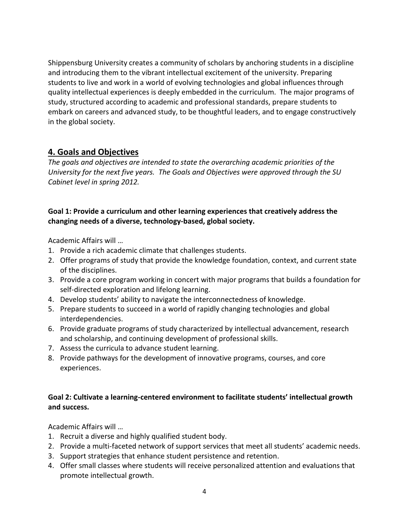Shippensburg University creates a community of scholars by anchoring students in a discipline and introducing them to the vibrant intellectual excitement of the university. Preparing students to live and work in a world of evolving technologies and global influences through quality intellectual experiences is deeply embedded in the curriculum. The major programs of study, structured according to academic and professional standards, prepare students to embark on careers and advanced study, to be thoughtful leaders, and to engage constructively in the global society.

# **4. Goals and Objectives**

*The goals and objectives are intended to state the overarching academic priorities of the University for the next five years. The Goals and Objectives were approved through the SU Cabinet level in spring 2012.*

### **Goal 1: Provide a curriculum and other learning experiences that creatively address the changing needs of a diverse, technology-based, global society.**

Academic Affairs will …

- 1. Provide a rich academic climate that challenges students.
- 2. Offer programs of study that provide the knowledge foundation, context, and current state of the disciplines.
- 3. Provide a core program working in concert with major programs that builds a foundation for self-directed exploration and lifelong learning.
- 4. Develop students' ability to navigate the interconnectedness of knowledge.
- 5. Prepare students to succeed in a world of rapidly changing technologies and global interdependencies.
- 6. Provide graduate programs of study characterized by intellectual advancement, research and scholarship, and continuing development of professional skills.
- 7. Assess the curricula to advance student learning.
- 8. Provide pathways for the development of innovative programs, courses, and core experiences.

### **Goal 2: Cultivate a learning-centered environment to facilitate students' intellectual growth and success.**

Academic Affairs will …

- 1. Recruit a diverse and highly qualified student body.
- 2. Provide a multi-faceted network of support services that meet all students' academic needs.
- 3. Support strategies that enhance student persistence and retention.
- 4. Offer small classes where students will receive personalized attention and evaluations that promote intellectual growth.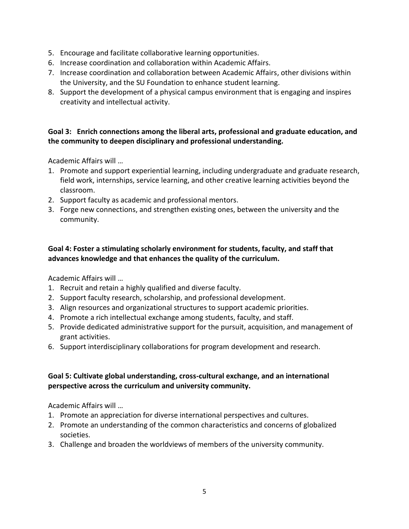- 5. Encourage and facilitate collaborative learning opportunities.
- 6. Increase coordination and collaboration within Academic Affairs.
- 7. Increase coordination and collaboration between Academic Affairs, other divisions within the University, and the SU Foundation to enhance student learning.
- 8. Support the development of a physical campus environment that is engaging and inspires creativity and intellectual activity.

### **Goal 3: Enrich connections among the liberal arts, professional and graduate education, and the community to deepen disciplinary and professional understanding.**

Academic Affairs will …

- 1. Promote and support experiential learning, including undergraduate and graduate research, field work, internships, service learning, and other creative learning activities beyond the classroom.
- 2. Support faculty as academic and professional mentors.
- 3. Forge new connections, and strengthen existing ones, between the university and the community.

### **Goal 4: Foster a stimulating scholarly environment for students, faculty, and staff that advances knowledge and that enhances the quality of the curriculum.**

Academic Affairs will …

- 1. Recruit and retain a highly qualified and diverse faculty.
- 2. Support faculty research, scholarship, and professional development.
- 3. Align resources and organizational structures to support academic priorities.
- 4. Promote a rich intellectual exchange among students, faculty, and staff.
- 5. Provide dedicated administrative support for the pursuit, acquisition, and management of grant activities.
- 6. Support interdisciplinary collaborations for program development and research.

### **Goal 5: Cultivate global understanding, cross-cultural exchange, and an international perspective across the curriculum and university community.**

Academic Affairs will …

- 1. Promote an appreciation for diverse international perspectives and cultures.
- 2. Promote an understanding of the common characteristics and concerns of globalized societies.
- 3. Challenge and broaden the worldviews of members of the university community.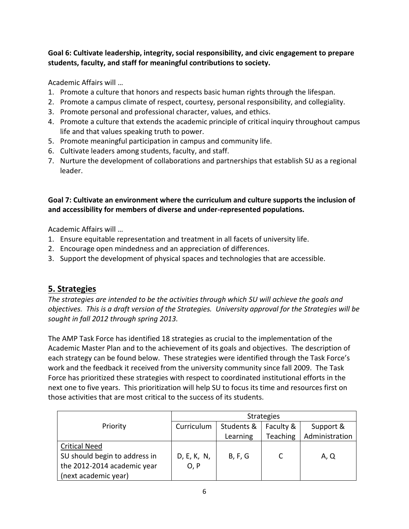**Goal 6: Cultivate leadership, integrity, social responsibility, and civic engagement to prepare students, faculty, and staff for meaningful contributions to society.**

Academic Affairs will …

- 1. Promote a culture that honors and respects basic human rights through the lifespan.
- 2. Promote a campus climate of respect, courtesy, personal responsibility, and collegiality.
- 3. Promote personal and professional character, values, and ethics.
- 4. Promote a culture that extends the academic principle of critical inquiry throughout campus life and that values speaking truth to power.
- 5. Promote meaningful participation in campus and community life.
- 6. Cultivate leaders among students, faculty, and staff.
- 7. Nurture the development of collaborations and partnerships that establish SU as a regional leader.

# **Goal 7: Cultivate an environment where the curriculum and culture supports the inclusion of and accessibility for members of diverse and under-represented populations.**

Academic Affairs will …

- 1. Ensure equitable representation and treatment in all facets of university life.
- 2. Encourage open mindedness and an appreciation of differences.
- 3. Support the development of physical spaces and technologies that are accessible.

# **5. Strategies**

*The strategies are intended to be the activities through which SU will achieve the goals and objectives. This is a draft version of the Strategies. University approval for the Strategies will be sought in fall 2012 through spring 2013.*

The AMP Task Force has identified 18 strategies as crucial to the implementation of the Academic Master Plan and to the achievement of its goals and objectives. The description of each strategy can be found below. These strategies were identified through the Task Force's work and the feedback it received from the university community since fall 2009. The Task Force has prioritized these strategies with respect to coordinated institutional efforts in the next one to five years. This prioritization will help SU to focus its time and resources first on those activities that are most critical to the success of its students.

|                               | <b>Strategies</b> |            |                 |                |  |  |  |  |
|-------------------------------|-------------------|------------|-----------------|----------------|--|--|--|--|
| Priority                      | Curriculum        | Students & | Faculty &       | Support &      |  |  |  |  |
|                               |                   | Learning   | <b>Teaching</b> | Administration |  |  |  |  |
| <b>Critical Need</b>          |                   |            |                 |                |  |  |  |  |
| SU should begin to address in | D, E, K, N,       | B, F, G    |                 | A, Q           |  |  |  |  |
| the 2012-2014 academic year   | O, P              |            |                 |                |  |  |  |  |
| (next academic year)          |                   |            |                 |                |  |  |  |  |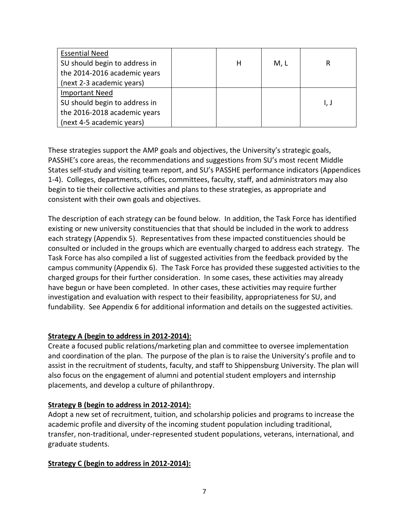| <b>Essential Need</b>         |   |      |      |
|-------------------------------|---|------|------|
| SU should begin to address in | н | M, L | R    |
| the 2014-2016 academic years  |   |      |      |
| (next 2-3 academic years)     |   |      |      |
| <b>Important Need</b>         |   |      |      |
| SU should begin to address in |   |      | I, J |
| the 2016-2018 academic years  |   |      |      |
| (next 4-5 academic years)     |   |      |      |

These strategies support the AMP goals and objectives, the University's strategic goals, PASSHE's core areas, the recommendations and suggestions from SU's most recent Middle States self-study and visiting team report, and SU's PASSHE performance indicators (Appendices 1-4). Colleges, departments, offices, committees, faculty, staff, and administrators may also begin to tie their collective activities and plans to these strategies, as appropriate and consistent with their own goals and objectives.

The description of each strategy can be found below. In addition, the Task Force has identified existing or new university constituencies that that should be included in the work to address each strategy (Appendix 5). Representatives from these impacted constituencies should be consulted or included in the groups which are eventually charged to address each strategy. The Task Force has also compiled a list of suggested activities from the feedback provided by the campus community (Appendix 6). The Task Force has provided these suggested activities to the charged groups for their further consideration. In some cases, these activities may already have begun or have been completed. In other cases, these activities may require further investigation and evaluation with respect to their feasibility, appropriateness for SU, and fundability. See Appendix 6 for additional information and details on the suggested activities.

### **Strategy A (begin to address in 2012-2014):**

Create a focused public relations/marketing plan and committee to oversee implementation and coordination of the plan. The purpose of the plan is to raise the University's profile and to assist in the recruitment of students, faculty, and staff to Shippensburg University. The plan will also focus on the engagement of alumni and potential student employers and internship placements, and develop a culture of philanthropy.

### **Strategy B (begin to address in 2012-2014):**

Adopt a new set of recruitment, tuition, and scholarship policies and programs to increase the academic profile and diversity of the incoming student population including traditional, transfer, non-traditional, under-represented student populations, veterans, international, and graduate students.

### **Strategy C (begin to address in 2012-2014):**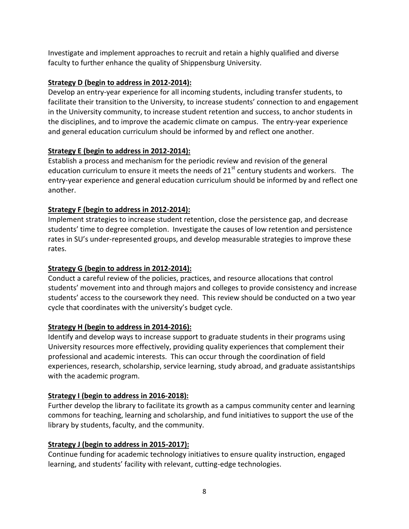Investigate and implement approaches to recruit and retain a highly qualified and diverse faculty to further enhance the quality of Shippensburg University.

### **Strategy D (begin to address in 2012-2014):**

Develop an entry-year experience for all incoming students, including transfer students, to facilitate their transition to the University, to increase students' connection to and engagement in the University community, to increase student retention and success, to anchor students in the disciplines, and to improve the academic climate on campus. The entry-year experience and general education curriculum should be informed by and reflect one another.

### **Strategy E (begin to address in 2012-2014):**

Establish a process and mechanism for the periodic review and revision of the general education curriculum to ensure it meets the needs of  $21<sup>st</sup>$  century students and workers. The entry-year experience and general education curriculum should be informed by and reflect one another.

# **Strategy F (begin to address in 2012-2014):**

Implement strategies to increase student retention, close the persistence gap, and decrease students' time to degree completion. Investigate the causes of low retention and persistence rates in SU's under-represented groups, and develop measurable strategies to improve these rates.

## **Strategy G (begin to address in 2012-2014):**

Conduct a careful review of the policies, practices, and resource allocations that control students' movement into and through majors and colleges to provide consistency and increase students' access to the coursework they need. This review should be conducted on a two year cycle that coordinates with the university's budget cycle.

# **Strategy H (begin to address in 2014-2016):**

Identify and develop ways to increase support to graduate students in their programs using University resources more effectively, providing quality experiences that complement their professional and academic interests. This can occur through the coordination of field experiences, research, scholarship, service learning, study abroad, and graduate assistantships with the academic program.

# **Strategy I (begin to address in 2016-2018):**

Further develop the library to facilitate its growth as a campus community center and learning commons for teaching, learning and scholarship, and fund initiatives to support the use of the library by students, faculty, and the community.

### **Strategy J (begin to address in 2015-2017):**

Continue funding for academic technology initiatives to ensure quality instruction, engaged learning, and students' facility with relevant, cutting-edge technologies.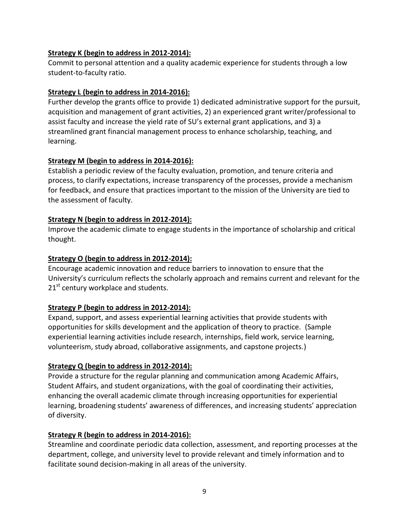### **Strategy K (begin to address in 2012-2014):**

Commit to personal attention and a quality academic experience for students through a low student-to-faculty ratio.

#### **Strategy L (begin to address in 2014-2016):**

Further develop the grants office to provide 1) dedicated administrative support for the pursuit, acquisition and management of grant activities, 2) an experienced grant writer/professional to assist faculty and increase the yield rate of SU's external grant applications, and 3) a streamlined grant financial management process to enhance scholarship, teaching, and learning.

#### **Strategy M (begin to address in 2014-2016):**

Establish a periodic review of the faculty evaluation, promotion, and tenure criteria and process, to clarify expectations, increase transparency of the processes, provide a mechanism for feedback, and ensure that practices important to the mission of the University are tied to the assessment of faculty.

#### **Strategy N (begin to address in 2012-2014):**

Improve the academic climate to engage students in the importance of scholarship and critical thought.

#### **Strategy O (begin to address in 2012-2014):**

Encourage academic innovation and reduce barriers to innovation to ensure that the University's curriculum reflects the scholarly approach and remains current and relevant for the  $21<sup>st</sup>$  century workplace and students.

### **Strategy P (begin to address in 2012-2014):**

Expand, support, and assess experiential learning activities that provide students with opportunities for skills development and the application of theory to practice. (Sample experiential learning activities include research, internships, field work, service learning, volunteerism, study abroad, collaborative assignments, and capstone projects.)

### **Strategy Q (begin to address in 2012-2014):**

Provide a structure for the regular planning and communication among Academic Affairs, Student Affairs, and student organizations, with the goal of coordinating their activities, enhancing the overall academic climate through increasing opportunities for experiential learning, broadening students' awareness of differences, and increasing students' appreciation of diversity.

### **Strategy R (begin to address in 2014-2016):**

Streamline and coordinate periodic data collection, assessment, and reporting processes at the department, college, and university level to provide relevant and timely information and to facilitate sound decision-making in all areas of the university.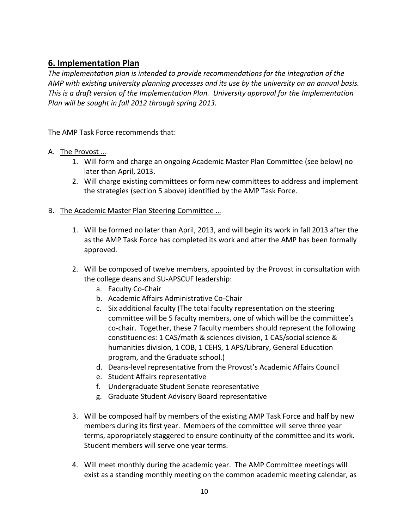# **6. Implementation Plan**

*The implementation plan is intended to provide recommendations for the integration of the AMP with existing university planning processes and its use by the university on an annual basis. This is a draft version of the Implementation Plan. University approval for the Implementation Plan will be sought in fall 2012 through spring 2013.*

The AMP Task Force recommends that:

- A. The Provost …
	- 1. Will form and charge an ongoing Academic Master Plan Committee (see below) no later than April, 2013.
	- 2. Will charge existing committees or form new committees to address and implement the strategies (section 5 above) identified by the AMP Task Force.
- B. The Academic Master Plan Steering Committee …
	- 1. Will be formed no later than April, 2013, and will begin its work in fall 2013 after the as the AMP Task Force has completed its work and after the AMP has been formally approved.
	- 2. Will be composed of twelve members, appointed by the Provost in consultation with the college deans and SU-APSCUF leadership:
		- a. Faculty Co-Chair
		- b. Academic Affairs Administrative Co-Chair
		- c. Six additional faculty (The total faculty representation on the steering committee will be 5 faculty members, one of which will be the committee's co-chair. Together, these 7 faculty members should represent the following constituencies: 1 CAS/math & sciences division, 1 CAS/social science & humanities division, 1 COB, 1 CEHS, 1 APS/Library, General Education program, and the Graduate school.)
		- d. Deans-level representative from the Provost's Academic Affairs Council
		- e. Student Affairs representative
		- f. Undergraduate Student Senate representative
		- g. Graduate Student Advisory Board representative
	- 3. Will be composed half by members of the existing AMP Task Force and half by new members during its first year. Members of the committee will serve three year terms, appropriately staggered to ensure continuity of the committee and its work. Student members will serve one year terms.
	- 4. Will meet monthly during the academic year. The AMP Committee meetings will exist as a standing monthly meeting on the common academic meeting calendar, as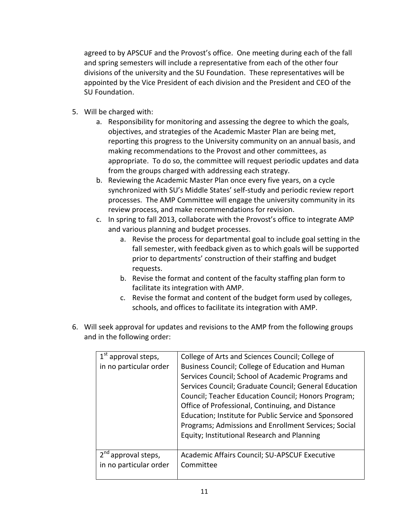agreed to by APSCUF and the Provost's office. One meeting during each of the fall and spring semesters will include a representative from each of the other four divisions of the university and the SU Foundation. These representatives will be appointed by the Vice President of each division and the President and CEO of the SU Foundation.

- 5. Will be charged with:
	- a. Responsibility for monitoring and assessing the degree to which the goals, objectives, and strategies of the Academic Master Plan are being met, reporting this progress to the University community on an annual basis, and making recommendations to the Provost and other committees, as appropriate. To do so, the committee will request periodic updates and data from the groups charged with addressing each strategy.
	- b. Reviewing the Academic Master Plan once every five years, on a cycle synchronized with SU's Middle States' self-study and periodic review report processes. The AMP Committee will engage the university community in its review process, and make recommendations for revision.
	- c. In spring to fall 2013, collaborate with the Provost's office to integrate AMP and various planning and budget processes.
		- a. Revise the process for departmental goal to include goal setting in the fall semester, with feedback given as to which goals will be supported prior to departments' construction of their staffing and budget requests.
		- b. Revise the format and content of the faculty staffing plan form to facilitate its integration with AMP.
		- c. Revise the format and content of the budget form used by colleges, schools, and offices to facilitate its integration with AMP.
- 6. Will seek approval for updates and revisions to the AMP from the following groups and in the following order:

| $1st$ approval steps,  | College of Arts and Sciences Council; College of      |
|------------------------|-------------------------------------------------------|
| in no particular order | Business Council; College of Education and Human      |
|                        | Services Council; School of Academic Programs and     |
|                        | Services Council; Graduate Council; General Education |
|                        | Council; Teacher Education Council; Honors Program;   |
|                        | Office of Professional, Continuing, and Distance      |
|                        | Education; Institute for Public Service and Sponsored |
|                        | Programs; Admissions and Enrollment Services; Social  |
|                        | Equity; Institutional Research and Planning           |
|                        |                                                       |
| approval steps,        | Academic Affairs Council; SU-APSCUF Executive         |
| in no particular order | Committee                                             |
|                        |                                                       |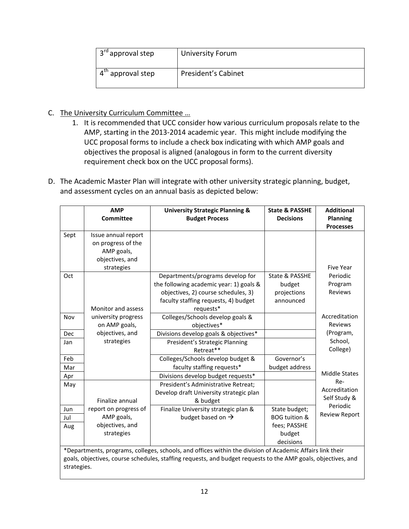| 3 <sup>rd</sup> approval step | University Forum    |
|-------------------------------|---------------------|
| approval step                 | President's Cabinet |

- C. The University Curriculum Committee …
	- 1. It is recommended that UCC consider how various curriculum proposals relate to the AMP, starting in the 2013-2014 academic year. This might include modifying the UCC proposal forms to include a check box indicating with which AMP goals and objectives the proposal is aligned (analogous in form to the current diversity requirement check box on the UCC proposal forms).
- D. The Academic Master Plan will integrate with other university strategic planning, budget, and assessment cycles on an annual basis as depicted below:

|      | <b>AMP</b><br><b>Committee</b>                                                           | <b>University Strategic Planning &amp;</b><br><b>Budget Process</b>                                                                                                     | <b>State &amp; PASSHE</b><br><b>Decisions</b>        | <b>Additional</b><br><b>Planning</b> |
|------|------------------------------------------------------------------------------------------|-------------------------------------------------------------------------------------------------------------------------------------------------------------------------|------------------------------------------------------|--------------------------------------|
|      |                                                                                          |                                                                                                                                                                         |                                                      | <b>Processes</b>                     |
| Sept | Issue annual report<br>on progress of the<br>AMP goals,<br>objectives, and<br>strategies |                                                                                                                                                                         |                                                      | <b>Five Year</b>                     |
| Oct  | Monitor and assess                                                                       | Departments/programs develop for<br>the following academic year: 1) goals &<br>objectives, 2) course schedules, 3)<br>faculty staffing requests, 4) budget<br>requests* | State & PASSHE<br>budget<br>projections<br>announced | Periodic<br>Program<br>Reviews       |
| Nov  | university progress<br>on AMP goals,                                                     | Colleges/Schools develop goals &<br>objectives*                                                                                                                         |                                                      | Accreditation<br>Reviews             |
| Dec  | objectives, and                                                                          | Divisions develop goals & objectives*                                                                                                                                   |                                                      | (Program,                            |
| Jan  | strategies                                                                               | President's Strategic Planning<br>Retreat**                                                                                                                             |                                                      | School,<br>College)                  |
| Feb  |                                                                                          | Colleges/Schools develop budget &                                                                                                                                       | Governor's                                           |                                      |
| Mar  |                                                                                          | faculty staffing requests*                                                                                                                                              | budget address                                       |                                      |
| Apr  |                                                                                          | Divisions develop budget requests*                                                                                                                                      |                                                      | <b>Middle States</b>                 |
| May  | Finalize annual                                                                          | President's Administrative Retreat;<br>Develop draft University strategic plan<br>& budget                                                                              |                                                      | Re-<br>Accreditation<br>Self Study & |
| Jun  | report on progress of                                                                    | Finalize University strategic plan &                                                                                                                                    | State budget;                                        | Periodic                             |
| Jul  | AMP goals,                                                                               | budget based on $\rightarrow$                                                                                                                                           | <b>BOG tuition &amp;</b>                             | <b>Review Report</b>                 |
| Aug  | objectives, and                                                                          |                                                                                                                                                                         | fees; PASSHE                                         |                                      |
|      | strategies                                                                               |                                                                                                                                                                         | budget<br>decisions                                  |                                      |

\*Departments, programs, colleges, schools, and offices within the division of Academic Affairs link their goals, objectives, course schedules, staffing requests, and budget requests to the AMP goals, objectives, and strategies.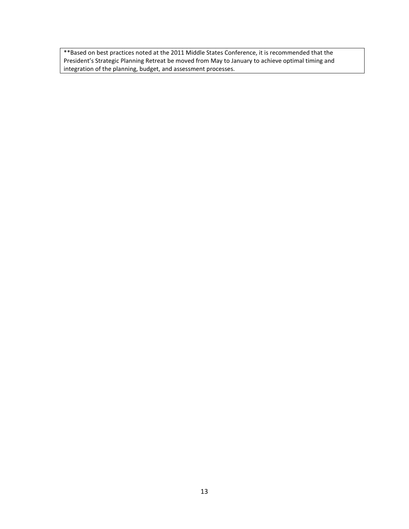\*\*Based on best practices noted at the 2011 Middle States Conference, it is recommended that the President's Strategic Planning Retreat be moved from May to January to achieve optimal timing and integration of the planning, budget, and assessment processes.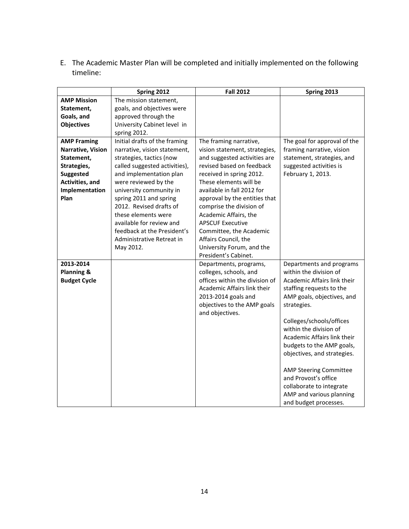E. The Academic Master Plan will be completed and initially implemented on the following timeline:

|                       | Spring 2012                   | <b>Fall 2012</b>               | Spring 2013                   |
|-----------------------|-------------------------------|--------------------------------|-------------------------------|
| <b>AMP Mission</b>    | The mission statement,        |                                |                               |
| Statement,            | goals, and objectives were    |                                |                               |
| Goals, and            | approved through the          |                                |                               |
| <b>Objectives</b>     | University Cabinet level in   |                                |                               |
|                       | spring 2012.                  |                                |                               |
| <b>AMP Framing</b>    | Initial drafts of the framing | The framing narrative,         | The goal for approval of the  |
| Narrative, Vision     | narrative, vision statement,  | vision statement, strategies,  | framing narrative, vision     |
| Statement,            | strategies, tactics (now      | and suggested activities are   | statement, strategies, and    |
| Strategies,           | called suggested activities), | revised based on feedback      | suggested activities is       |
| <b>Suggested</b>      | and implementation plan       | received in spring 2012.       | February 1, 2013.             |
| Activities, and       | were reviewed by the          | These elements will be         |                               |
| Implementation        | university community in       | available in fall 2012 for     |                               |
| Plan                  | spring 2011 and spring        | approval by the entities that  |                               |
|                       | 2012. Revised drafts of       | comprise the division of       |                               |
|                       | these elements were           | Academic Affairs, the          |                               |
|                       | available for review and      | <b>APSCUF Executive</b>        |                               |
|                       | feedback at the President's   | Committee, the Academic        |                               |
|                       | Administrative Retreat in     | Affairs Council, the           |                               |
|                       | May 2012.                     | University Forum, and the      |                               |
|                       |                               | President's Cabinet.           |                               |
| 2013-2014             |                               | Departments, programs,         | Departments and programs      |
| <b>Planning &amp;</b> |                               | colleges, schools, and         | within the division of        |
| <b>Budget Cycle</b>   |                               | offices within the division of | Academic Affairs link their   |
|                       |                               | Academic Affairs link their    | staffing requests to the      |
|                       |                               | 2013-2014 goals and            | AMP goals, objectives, and    |
|                       |                               | objectives to the AMP goals    | strategies.                   |
|                       |                               | and objectives.                |                               |
|                       |                               |                                | Colleges/schools/offices      |
|                       |                               |                                | within the division of        |
|                       |                               |                                | Academic Affairs link their   |
|                       |                               |                                | budgets to the AMP goals,     |
|                       |                               |                                | objectives, and strategies.   |
|                       |                               |                                |                               |
|                       |                               |                                | <b>AMP Steering Committee</b> |
|                       |                               |                                | and Provost's office          |
|                       |                               |                                | collaborate to integrate      |
|                       |                               |                                | AMP and various planning      |
|                       |                               |                                | and budget processes.         |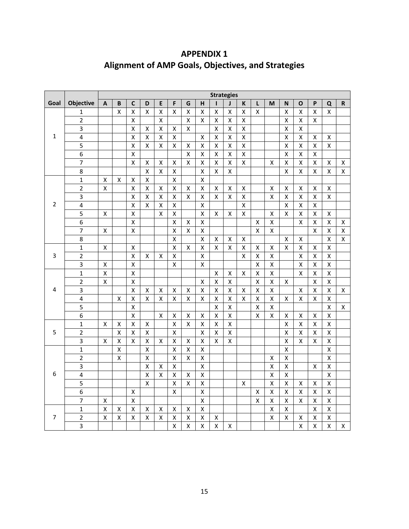|      |                          | <b>Strategies</b>  |                    |                    |                    |                    |                         |                    |                         |                         |                    |                    |                    |                    |                         |                         |                         |                         |                    |
|------|--------------------------|--------------------|--------------------|--------------------|--------------------|--------------------|-------------------------|--------------------|-------------------------|-------------------------|--------------------|--------------------|--------------------|--------------------|-------------------------|-------------------------|-------------------------|-------------------------|--------------------|
| Goal | <b>Objective</b>         | A                  | B                  | $\mathbf c$        | D                  | E                  | F                       | G                  | н                       |                         | J                  | K                  | L                  | M                  | N                       | O                       | P                       | Q                       | $\mathbf R$        |
|      | 1                        |                    | $\pmb{\mathsf{X}}$ | х                  | Χ                  | $\pmb{\mathsf{X}}$ | x                       | X                  | X                       | $\pmb{\mathsf{X}}$      | Χ                  | X                  | X                  |                    | x                       | X                       | X                       | x                       |                    |
|      | $\overline{2}$           |                    |                    | Χ                  |                    | Χ                  |                         | $\pmb{\mathsf{X}}$ | Χ                       | $\pmb{\mathsf{X}}$      | x                  | Χ                  |                    |                    | $\pmb{\mathsf{X}}$      | $\pmb{\mathsf{X}}$      | X                       |                         |                    |
|      | 3                        |                    |                    | X                  | X                  | X                  | $\pmb{\mathsf{X}}$      | X                  |                         | $\pmb{\mathsf{X}}$      | X                  | X                  |                    |                    | X                       | $\pmb{\mathsf{X}}$      |                         |                         |                    |
| 1    | 4                        |                    |                    | X                  | X                  | $\pmb{\mathsf{X}}$ | $\pmb{\mathsf{X}}$      |                    | $\pmb{\mathsf{X}}$      | $\pmb{\mathsf{X}}$      | X                  | X                  |                    |                    | $\pmb{\mathsf{X}}$      | $\pmb{\mathsf{X}}$      | Χ                       | X                       |                    |
|      | 5                        |                    |                    | $\mathsf{x}$       | $\pmb{\mathsf{X}}$ | $\pmb{\mathsf{X}}$ | Χ                       | $\pmb{\mathsf{X}}$ | $\pmb{\mathsf{X}}$      | $\pmb{\mathsf{X}}$      | $\pmb{\mathsf{X}}$ | X                  |                    |                    | $\pmb{\mathsf{X}}$      | $\pmb{\mathsf{X}}$      | $\pmb{\mathsf{X}}$      | $\pmb{\mathsf{X}}$      |                    |
|      | 6                        |                    |                    | $\pmb{\mathsf{X}}$ |                    |                    |                         | $\pmb{\mathsf{X}}$ | $\pmb{\mathsf{X}}$      | $\pmb{\mathsf{X}}$      | Χ                  | X                  |                    |                    | X                       | $\pmb{\mathsf{X}}$      | $\pmb{\mathsf{X}}$      |                         |                    |
|      | $\overline{\mathcal{I}}$ |                    |                    | X                  | x                  | x                  | Χ                       | X                  | X                       | X                       | x                  | Χ                  |                    | Χ                  | Χ                       | X                       | Χ                       | Χ                       | X                  |
|      | 8                        |                    |                    |                    | $\pmb{\mathsf{X}}$ | $\pmb{\mathsf{X}}$ | Χ                       |                    | X                       | $\pmb{\mathsf{X}}$      | X                  |                    |                    |                    | X                       | $\pmb{\mathsf{X}}$      | Χ                       | Χ                       | Χ                  |
|      | $\mathbf{1}$             | х                  | X                  | $\pmb{\mathsf{X}}$ | X                  |                    | X                       |                    | X                       |                         |                    |                    |                    |                    |                         |                         |                         |                         |                    |
|      | $\overline{2}$           | $\pmb{\mathsf{X}}$ |                    | X                  | $\pmb{\mathsf{X}}$ | x                  | X                       | X                  | X                       | Х                       | x                  | x                  |                    | х                  | X                       | Χ                       | $\pmb{\mathsf{X}}$      | Χ                       |                    |
|      | 3                        |                    |                    | X                  | X                  | Χ                  | Χ                       | X                  | $\pmb{\mathsf{X}}$      | $\pmb{\mathsf{X}}$      | $\pmb{\mathsf{X}}$ | $\pmb{\mathsf{X}}$ |                    | $\pmb{\mathsf{X}}$ | $\pmb{\mathsf{X}}$      | $\pmb{\mathsf{X}}$      | Χ                       | $\pmb{\mathsf{X}}$      |                    |
| 2    | 4                        |                    |                    | X                  | $\mathsf{X}$       | $\pmb{\mathsf{X}}$ | $\pmb{\mathsf{X}}$      |                    | $\pmb{\mathsf{X}}$      |                         |                    | X                  |                    |                    | $\pmb{\mathsf{X}}$      | $\pmb{\mathsf{X}}$      | $\pmb{\mathsf{X}}$      |                         |                    |
|      | 5                        | $\pmb{\mathsf{X}}$ |                    | $\pmb{\mathsf{X}}$ |                    | Χ                  | X                       |                    | $\pmb{\mathsf{X}}$      | X                       | Χ                  | Χ                  |                    | $\pmb{\mathsf{X}}$ | X                       | $\pmb{\mathsf{X}}$      | $\pmb{\mathsf{X}}$      | Χ                       |                    |
|      | 6                        |                    |                    | $\pmb{\mathsf{X}}$ |                    |                    | Χ                       | x                  | x                       |                         |                    |                    | Χ                  | X                  |                         | X                       | Χ                       | х                       | X                  |
|      | $\overline{7}$           | $\pmb{\mathsf{X}}$ |                    | Χ                  |                    |                    | $\mathsf{x}$            | $\pmb{\mathsf{X}}$ | Χ                       |                         |                    |                    | $\pmb{\mathsf{X}}$ | $\pmb{\mathsf{X}}$ |                         |                         | $\pmb{\mathsf{X}}$      | Χ                       | $\pmb{\mathsf{X}}$ |
|      | 8                        |                    |                    |                    |                    |                    | X                       |                    | $\pmb{\mathsf{X}}$      | Χ                       | Χ                  | $\pmb{\mathsf{X}}$ |                    |                    | X                       | $\pmb{\mathsf{X}}$      |                         | X                       | $\mathsf{X}$       |
|      | $\overline{1}$           | $\pmb{\mathsf{X}}$ |                    | Χ                  |                    |                    | $\mathsf{x}$            | X                  | $\mathsf{x}$            | $\pmb{\mathsf{X}}$      | X                  | $\pmb{\times}$     | Χ                  | $\pmb{\mathsf{X}}$ | $\overline{\mathsf{x}}$ | $\pmb{\mathsf{X}}$      | Χ                       | X                       |                    |
| 3    | $\overline{2}$           |                    |                    | $\pmb{\mathsf{X}}$ | X                  | X                  | $\pmb{\mathsf{X}}$      |                    | $\pmb{\mathsf{X}}$      |                         |                    | X                  | $\pmb{\mathsf{X}}$ | $\pmb{\mathsf{X}}$ |                         | $\pmb{\mathsf{X}}$      | X                       | X                       |                    |
|      | $\overline{\mathbf{3}}$  | $\pmb{\mathsf{X}}$ |                    | $\mathsf{x}$       |                    |                    | $\pmb{\mathsf{X}}$      |                    | $\mathsf{x}$            |                         |                    |                    | $\pmb{\mathsf{X}}$ | $\pmb{\mathsf{X}}$ |                         | $\pmb{\mathsf{X}}$      | $\pmb{\mathsf{X}}$      | X                       |                    |
|      | $\mathbf{1}$             | $\pmb{\mathsf{X}}$ |                    | $\pmb{\mathsf{X}}$ |                    |                    |                         |                    |                         | X                       | Χ                  | Χ                  | X                  | X                  |                         | $\pmb{\mathsf{X}}$      | $\pmb{\mathsf{X}}$      | $\pmb{\mathsf{X}}$      |                    |
|      | $\mathbf 2$              | Χ                  |                    | Χ                  |                    |                    |                         |                    | Χ                       | $\pmb{\mathsf{X}}$      | Χ                  |                    | Χ                  | $\pmb{\mathsf{X}}$ | Χ                       |                         | X                       | Χ                       |                    |
| 4    | 3                        |                    |                    | Χ                  | X                  | Χ                  | x                       | x                  | X                       | $\mathsf X$             | $\pmb{\mathsf{X}}$ | Χ                  | $\pmb{\mathsf{X}}$ | $\pmb{\mathsf{X}}$ |                         | $\pmb{\mathsf{X}}$      | Χ                       | Χ                       | $\pmb{\mathsf{X}}$ |
|      | $\overline{\mathbf{4}}$  |                    | X                  | $\pmb{\mathsf{X}}$ | X                  | $\pmb{\mathsf{X}}$ | X                       | $\pmb{\mathsf{X}}$ | $\pmb{\mathsf{X}}$      | $\pmb{\mathsf{X}}$      | $\pmb{\mathsf{X}}$ | X                  | $\pmb{\mathsf{X}}$ | $\pmb{\mathsf{X}}$ | X                       | $\pmb{\mathsf{X}}$      | $\pmb{\mathsf{X}}$      | $\mathsf{\overline{X}}$ |                    |
|      | 5                        |                    |                    | $\pmb{\mathsf{X}}$ |                    |                    |                         |                    |                         | $\pmb{\mathsf{X}}$      | Χ                  |                    | X                  | $\pmb{\mathsf{X}}$ |                         |                         |                         | Χ                       | X                  |
|      | 6                        |                    |                    | $\pmb{\mathsf{X}}$ |                    | X                  | Χ                       | $\pmb{\mathsf{X}}$ | $\pmb{\mathsf{X}}$      | $\pmb{\mathsf{X}}$      | $\pmb{\mathsf{X}}$ |                    | $\pmb{\mathsf{X}}$ | X                  | X                       | $\pmb{\mathsf{X}}$      | X                       | X                       |                    |
|      | $\mathbf 1$              | $\pmb{\mathsf{X}}$ | $\pmb{\mathsf{X}}$ | $\pmb{\mathsf{X}}$ | $\pmb{\mathsf{X}}$ |                    | $\pmb{\mathsf{X}}$      | $\pmb{\mathsf{X}}$ | $\pmb{\mathsf{X}}$      | $\mathsf X$             | $\pmb{\mathsf{X}}$ |                    |                    |                    | X                       | $\pmb{\mathsf{X}}$      | Χ                       | Χ                       |                    |
| 5    | $\mathbf 2$              |                    | $\pmb{\mathsf{X}}$ | $\pmb{\mathsf{X}}$ | X                  |                    | Χ                       |                    | X                       | $\pmb{\mathsf{X}}$      | X                  |                    |                    |                    | Χ                       | X                       | $\pmb{\mathsf{X}}$      | Χ                       |                    |
|      | 3                        | Χ                  | Χ                  | X                  | X                  | x                  | Χ                       | x                  | Χ                       | X                       | X                  |                    |                    |                    | x                       | Χ                       | X                       | х                       |                    |
|      | $\mathbf{1}$             |                    | $\pmb{\mathsf{X}}$ |                    | X                  |                    | X                       | $\pmb{\mathsf{X}}$ | $\pmb{\mathsf{X}}$      |                         |                    |                    |                    |                    | $\pmb{\mathsf{X}}$      |                         |                         | X                       |                    |
|      | $\overline{2}$           |                    | $\pmb{\mathsf{X}}$ |                    | X                  |                    | $\pmb{\mathsf{X}}$      | $\pmb{\mathsf{X}}$ | $\pmb{\mathsf{X}}$      |                         |                    |                    |                    | X                  | Χ                       |                         |                         | X                       |                    |
|      | 3                        |                    |                    |                    | X                  | x                  | Χ                       |                    | X                       |                         |                    |                    |                    | Χ                  | $\mathsf{X}% _{0}$      |                         | $\pmb{\mathsf{X}}$      | Χ                       |                    |
| 6    | 4                        |                    |                    |                    | $\pmb{\mathsf{X}}$ | X                  | Χ                       | $\pmb{\mathsf{X}}$ | X                       |                         |                    |                    |                    | X                  | $\pmb{\mathsf{X}}$      |                         |                         | X                       |                    |
|      | 5                        |                    |                    |                    | X                  |                    | $\pmb{\mathsf{X}}$      | $\pmb{\mathsf{X}}$ | $\pmb{\mathsf{X}}$      |                         |                    | $\pmb{\mathsf{X}}$ |                    | x                  | X                       | $\pmb{\mathsf{X}}$      | Χ                       | $\pmb{\mathsf{X}}$      |                    |
|      | 6                        |                    |                    | Χ                  |                    |                    | Χ                       |                    | X                       |                         |                    |                    | $\pmb{\mathsf{X}}$ | X                  | X                       | $\pmb{\mathsf{X}}$      | $\pmb{\mathsf{X}}$      | Χ                       |                    |
|      | $\overline{7}$           | $\pmb{\mathsf{X}}$ |                    | Χ                  |                    |                    |                         |                    | Χ                       |                         |                    |                    | $\pmb{\mathsf{X}}$ | X                  | X                       | $\pmb{\mathsf{X}}$      | Χ                       | Χ                       |                    |
|      | $\mathbf{1}$             | X                  | $\pmb{\mathsf{X}}$ | X                  | $\pmb{\mathsf{X}}$ | х                  | Χ                       | $\pmb{\mathsf{X}}$ | X                       |                         |                    |                    |                    | $\pmb{\mathsf{X}}$ | Χ                       |                         | $\pmb{\mathsf{X}}$      | X                       |                    |
| 7    | $\overline{2}$           | $\pmb{\mathsf{X}}$ | $\pmb{\times}$     | $\pmb{\mathsf{X}}$ | $\pmb{\mathsf{X}}$ | X                  | $\pmb{\mathsf{X}}$      | $\pmb{\mathsf{X}}$ | $\pmb{\mathsf{X}}$      | X                       |                    |                    |                    | Χ                  | $\pmb{\mathsf{X}}$      | Χ                       | X                       | Χ                       |                    |
|      | 3                        |                    |                    |                    |                    |                    | $\overline{\mathsf{x}}$ | $\pmb{\mathsf{X}}$ | $\overline{\mathsf{x}}$ | $\overline{\mathsf{x}}$ | Χ                  |                    |                    |                    |                         | $\overline{\mathsf{x}}$ | $\overline{\mathsf{x}}$ | $\overline{\mathsf{x}}$ | $\pmb{\mathsf{X}}$ |

# **APPENDIX 1 Alignment of AMP Goals, Objectives, and Strategies**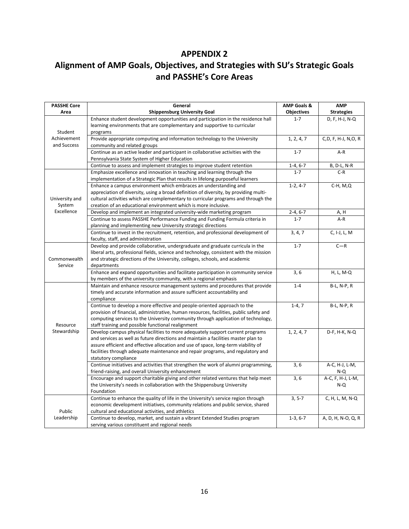# **APPENDIX 2**

# **Alignment of AMP Goals, Objectives, and Strategies with SU's Strategic Goals and PASSHE's Core Areas**

| <b>PASSHE Core</b>         | General                                                                                    | <b>AMP Goals &amp;</b> | <b>AMP</b>          |
|----------------------------|--------------------------------------------------------------------------------------------|------------------------|---------------------|
| Area                       | <b>Shippensburg University Goal</b>                                                        | <b>Objectives</b>      | <b>Strategies</b>   |
|                            | Enhance student development opportunities and participation in the residence hall          | $1 - 7$                | D, F, H-J, N-Q      |
|                            | learning environments that are complementary and supportive to curricular                  |                        |                     |
| Student                    | programs                                                                                   |                        |                     |
| Achievement<br>and Success | Provide appropriate computing and information technology to the University                 | 1, 2, 4, 7             | C,D, F, H-J, N,O, R |
|                            | community and related groups                                                               |                        |                     |
|                            | Continue as an active leader and participant in collaborative activities with the          | $1 - 7$                | A-R                 |
|                            | Pennsylvania State System of Higher Education                                              |                        |                     |
|                            | Continue to assess and implement strategies to improve student retention                   | $1-4, 6-7$             | B, D-L, N-R         |
|                            | Emphasize excellence and innovation in teaching and learning through the                   | $1 - 7$                | $C-R$               |
|                            | implementation of a Strategic Plan that results in lifelong purposeful learners            |                        |                     |
|                            | Enhance a campus environment which embraces an understanding and                           | $1-2, 4-7$             | $C-H, M, Q$         |
| University and             | appreciation of diversity, using a broad definition of diversity, by providing multi-      |                        |                     |
|                            | cultural activities which are complementary to curricular programs and through the         |                        |                     |
| System                     | creation of an educational environment which is more inclusive.                            |                        |                     |
| Excellence                 | Develop and implement an integrated university-wide marketing program                      | $2 - 4, 6 - 7$         | A, H                |
|                            | Continue to assess PASSHE Performance Funding and Funding Formula criteria in              | $1 - 7$                | $A-R$               |
|                            | planning and implementing new University strategic directions                              |                        |                     |
|                            | Continue to invest in the recruitment, retention, and professional development of          | 3, 4, 7                | C, I-J, L, M        |
|                            | faculty, staff, and administration                                                         |                        |                     |
|                            | Develop and provide collaborative, undergraduate and graduate curricula in the             | $1 - 7$                | $C - R$             |
| Commonwealth               | liberal arts, professional fields, science and technology, consistent with the mission     |                        |                     |
| Service                    | and strategic directions of the University, colleges, schools, and academic<br>departments |                        |                     |
|                            | Enhance and expand opportunities and facilitate participation in community service         | 3,6                    | H, L, M-Q           |
|                            | by members of the university community, with a regional emphasis                           |                        |                     |
|                            | Maintain and enhance resource management systems and procedures that provide               | $1 - 4$                | B-L, N-P, R         |
|                            | timely and accurate information and assure sufficient accountability and                   |                        |                     |
|                            | compliance                                                                                 |                        |                     |
|                            | Continue to develop a more effective and people-oriented approach to the                   | $1-4, 7$               | <b>B-L, N-P, R</b>  |
|                            | provision of financial, administrative, human resources, facilities, public safety and     |                        |                     |
|                            | computing services to the University community through application of technology,          |                        |                     |
| Resource                   | staff training and possible functional realignment                                         |                        |                     |
| Stewardship                | Develop campus physical facilities to more adequately support current programs             | 1, 2, 4, 7             | D-F, H-K, N-Q       |
|                            | and services as well as future directions and maintain a facilities master plan to         |                        |                     |
|                            | assure efficient and effective allocation and use of space, long-term viability of         |                        |                     |
|                            | facilities through adequate maintenance and repair programs, and regulatory and            |                        |                     |
|                            | statutory compliance                                                                       |                        |                     |
|                            | Continue initiatives and activities that strengthen the work of alumni programming,        | 3,6                    | A-C, H-J, L-M,      |
|                            | friend-raising, and overall University enhancement                                         |                        | N-Q                 |
|                            | Encourage and support charitable giving and other related ventures that help meet          | 3,6                    | A-C, F, H-J, L-M,   |
|                            | the University's needs in collaboration with the Shippensburg University                   |                        | $N-Q$               |
|                            | Foundation                                                                                 |                        |                     |
|                            | Continue to enhance the quality of life in the University's service region through         | $3, 5-7$               | C, H, L, M, N-Q     |
|                            | economic development initiatives, community relations and public service, shared           |                        |                     |
| Public                     | cultural and educational activities, and athletics                                         |                        |                     |
| Leadership                 | Continue to develop, market, and sustain a vibrant Extended Studies program                | $1-3, 6-7$             | A, D, H, N-O, Q, R  |
|                            | serving various constituent and regional needs                                             |                        |                     |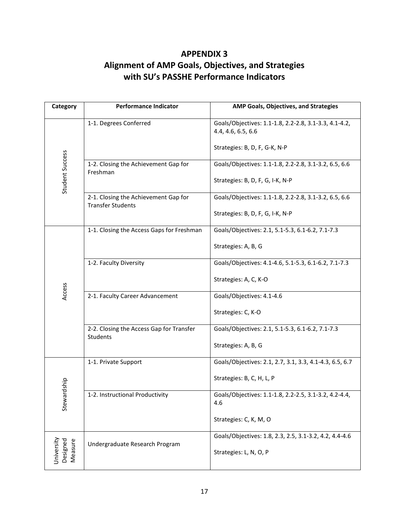# **APPENDIX 3 Alignment of AMP Goals, Objectives, and Strategies with SU's PASSHE Performance Indicators**

| Category                          | <b>Performance Indicator</b>                                     | AMP Goals, Objectives, and Strategies                                       |  |  |
|-----------------------------------|------------------------------------------------------------------|-----------------------------------------------------------------------------|--|--|
|                                   | 1-1. Degrees Conferred                                           | Goals/Objectives: 1.1-1.8, 2.2-2.8, 3.1-3.3, 4.1-4.2,<br>4.4, 4.6, 6.5, 6.6 |  |  |
| Student Success                   |                                                                  | Strategies: B, D, F, G-K, N-P                                               |  |  |
|                                   | 1-2. Closing the Achievement Gap for<br>Freshman                 | Goals/Objectives: 1.1-1.8, 2.2-2.8, 3.1-3.2, 6.5, 6.6                       |  |  |
|                                   |                                                                  | Strategies: B, D, F, G, I-K, N-P                                            |  |  |
|                                   | 2-1. Closing the Achievement Gap for<br><b>Transfer Students</b> | Goals/Objectives: 1.1-1.8, 2.2-2.8, 3.1-3.2, 6.5, 6.6                       |  |  |
|                                   |                                                                  | Strategies: B, D, F, G, I-K, N-P                                            |  |  |
|                                   | 1-1. Closing the Access Gaps for Freshman                        | Goals/Objectives: 2.1, 5.1-5.3, 6.1-6.2, 7.1-7.3                            |  |  |
|                                   |                                                                  | Strategies: A, B, G                                                         |  |  |
|                                   | 1-2. Faculty Diversity                                           | Goals/Objectives: 4.1-4.6, 5.1-5.3, 6.1-6.2, 7.1-7.3                        |  |  |
|                                   |                                                                  | Strategies: A, C, K-O                                                       |  |  |
| Access                            | 2-1. Faculty Career Advancement                                  | Goals/Objectives: 4.1-4.6                                                   |  |  |
|                                   |                                                                  | Strategies: C, K-O                                                          |  |  |
|                                   | 2-2. Closing the Access Gap for Transfer<br>Students             | Goals/Objectives: 2.1, 5.1-5.3, 6.1-6.2, 7.1-7.3                            |  |  |
|                                   |                                                                  | Strategies: A, B, G                                                         |  |  |
|                                   | 1-1. Private Support                                             | Goals/Objectives: 2.1, 2.7, 3.1, 3.3, 4.1-4.3, 6.5, 6.7                     |  |  |
|                                   |                                                                  | Strategies: B, C, H, L, P                                                   |  |  |
| Stewardship                       | 1-2. Instructional Productivity                                  | Goals/Objectives: 1.1-1.8, 2.2-2.5, 3.1-3.2, 4.2-4.4,<br>4.6                |  |  |
|                                   |                                                                  | Strategies: C, K, M, O                                                      |  |  |
|                                   | Undergraduate Research Program                                   | Goals/Objectives: 1.8, 2.3, 2.5, 3.1-3.2, 4.2, 4.4-4.6                      |  |  |
| University<br>Designed<br>Measure |                                                                  | Strategies: L, N, O, P                                                      |  |  |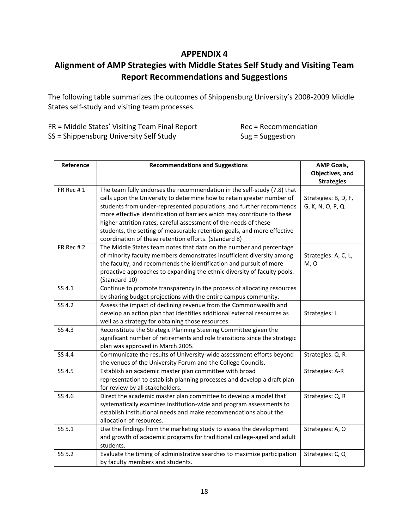# **APPENDIX 4**

# **Alignment of AMP Strategies with Middle States Self Study and Visiting Team Report Recommendations and Suggestions**

The following table summarizes the outcomes of Shippensburg University's 2008-2009 Middle States self-study and visiting team processes.

| FR = Middle States' Visiting Team Final Report | $Rec = Recommentedation$ |
|------------------------------------------------|--------------------------|
| SS = Shippensburg University Self Study        | $Sug = Suggestion$       |

| Reference | <b>Recommendations and Suggestions</b>                                     | <b>AMP Goals,</b>    |
|-----------|----------------------------------------------------------------------------|----------------------|
|           |                                                                            | Objectives, and      |
|           |                                                                            | <b>Strategies</b>    |
| FR Rec #1 | The team fully endorses the recommendation in the self-study (7.8) that    |                      |
|           | calls upon the University to determine how to retain greater number of     | Strategies: B, D, F, |
|           | students from under-represented populations, and further recommends        | G, K, N, O, P, Q     |
|           | more effective identification of barriers which may contribute to these    |                      |
|           | higher attrition rates, careful assessment of the needs of these           |                      |
|           | students, the setting of measurable retention goals, and more effective    |                      |
|           | coordination of these retention efforts. (Standard 8)                      |                      |
| FR Rec #2 | The Middle States team notes that data on the number and percentage        |                      |
|           | of minority faculty members demonstrates insufficient diversity among      | Strategies: A, C, L, |
|           | the faculty, and recommends the identification and pursuit of more         | M, O                 |
|           | proactive approaches to expanding the ethnic diversity of faculty pools.   |                      |
|           | (Standard 10)                                                              |                      |
| SS 4.1    | Continue to promote transparency in the process of allocating resources    |                      |
|           | by sharing budget projections with the entire campus community.            |                      |
| SS 4.2    | Assess the impact of declining revenue from the Commonwealth and           |                      |
|           | develop an action plan that identifies additional external resources as    | Strategies: L        |
|           | well as a strategy for obtaining those resources.                          |                      |
| SS 4.3    | Reconstitute the Strategic Planning Steering Committee given the           |                      |
|           | significant number of retirements and role transitions since the strategic |                      |
|           | plan was approved in March 2005.                                           |                      |
| SS 4.4    | Communicate the results of University-wide assessment efforts beyond       | Strategies: Q, R     |
|           | the venues of the University Forum and the College Councils.               |                      |
| SS 4.5    | Establish an academic master plan committee with broad                     | Strategies: A-R      |
|           | representation to establish planning processes and develop a draft plan    |                      |
|           | for review by all stakeholders.                                            |                      |
| SS 4.6    | Direct the academic master plan committee to develop a model that          | Strategies: Q, R     |
|           | systematically examines institution-wide and program assessments to        |                      |
|           | establish institutional needs and make recommendations about the           |                      |
|           | allocation of resources.                                                   |                      |
| SS 5.1    | Use the findings from the marketing study to assess the development        | Strategies: A, O     |
|           | and growth of academic programs for traditional college-aged and adult     |                      |
|           | students.                                                                  |                      |
| SS 5.2    | Evaluate the timing of administrative searches to maximize participation   | Strategies: C, Q     |
|           | by faculty members and students.                                           |                      |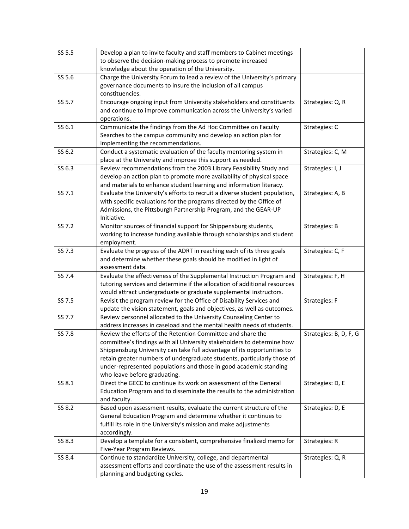| SS 5.5 | Develop a plan to invite faculty and staff members to Cabinet meetings     |                        |
|--------|----------------------------------------------------------------------------|------------------------|
|        | to observe the decision-making process to promote increased                |                        |
|        | knowledge about the operation of the University.                           |                        |
| SS 5.6 | Charge the University Forum to lead a review of the University's primary   |                        |
|        | governance documents to insure the inclusion of all campus                 |                        |
|        | constituencies.                                                            |                        |
| SS 5.7 | Encourage ongoing input from University stakeholders and constituents      | Strategies: Q, R       |
|        | and continue to improve communication across the University's varied       |                        |
|        | operations.                                                                |                        |
| SS 6.1 | Communicate the findings from the Ad Hoc Committee on Faculty              | Strategies: C          |
|        | Searches to the campus community and develop an action plan for            |                        |
|        | implementing the recommendations.                                          |                        |
| SS 6.2 | Conduct a systematic evaluation of the faculty mentoring system in         | Strategies: C, M       |
|        | place at the University and improve this support as needed.                |                        |
| SS 6.3 | Review recommendations from the 2003 Library Feasibility Study and         | Strategies: I, J       |
|        | develop an action plan to promote more availability of physical space      |                        |
|        | and materials to enhance student learning and information literacy.        |                        |
| SS 7.1 | Evaluate the University's efforts to recruit a diverse student population, | Strategies: A, B       |
|        | with specific evaluations for the programs directed by the Office of       |                        |
|        | Admissions, the Pittsburgh Partnership Program, and the GEAR-UP            |                        |
|        | Initiative.                                                                |                        |
| SS 7.2 | Monitor sources of financial support for Shippensburg students,            | Strategies: B          |
|        | working to increase funding available through scholarships and student     |                        |
|        | employment.                                                                |                        |
| SS 7.3 | Evaluate the progress of the ADRT in reaching each of its three goals      | Strategies: C, F       |
|        | and determine whether these goals should be modified in light of           |                        |
|        | assessment data.                                                           |                        |
| SS 7.4 | Evaluate the effectiveness of the Supplemental Instruction Program and     | Strategies: F, H       |
|        | tutoring services and determine if the allocation of additional resources  |                        |
|        | would attract undergraduate or graduate supplemental instructors.          |                        |
| SS 7.5 | Revisit the program review for the Office of Disability Services and       | Strategies: F          |
|        | update the vision statement, goals and objectives, as well as outcomes.    |                        |
| SS 7.7 | Review personnel allocated to the University Counseling Center to          |                        |
|        | address increases in caseload and the mental health needs of students.     |                        |
| SS 7.8 | Review the efforts of the Retention Committee and share the                | Strategies: B, D, F, G |
|        | committee's findings with all University stakeholders to determine how     |                        |
|        | Shippensburg University can take full advantage of its opportunities to    |                        |
|        | retain greater numbers of undergraduate students, particularly those of    |                        |
|        | under-represented populations and those in good academic standing          |                        |
|        | who leave before graduating.                                               |                        |
| SS 8.1 | Direct the GECC to continue its work on assessment of the General          | Strategies: D, E       |
|        | Education Program and to disseminate the results to the administration     |                        |
|        | and faculty.                                                               |                        |
| SS 8.2 | Based upon assessment results, evaluate the current structure of the       | Strategies: D, E       |
|        | General Education Program and determine whether it continues to            |                        |
|        | fulfill its role in the University's mission and make adjustments          |                        |
|        | accordingly.                                                               |                        |
| SS 8.3 | Develop a template for a consistent, comprehensive finalized memo for      | Strategies: R          |
|        | Five-Year Program Reviews.                                                 |                        |
| SS 8.4 | Continue to standardize University, college, and departmental              | Strategies: Q, R       |
|        | assessment efforts and coordinate the use of the assessment results in     |                        |
|        | planning and budgeting cycles.                                             |                        |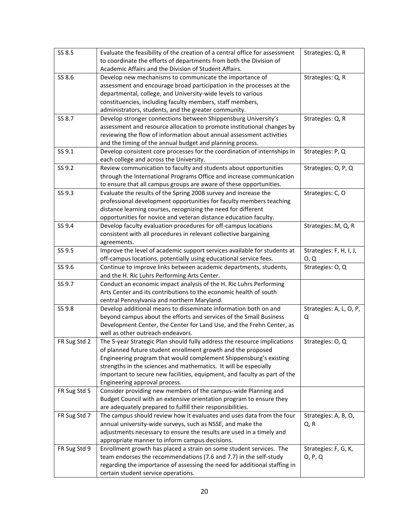| SS 8.5       | Evaluate the feasibility of the creation of a central office for assessment                                      | Strategies: Q, R        |
|--------------|------------------------------------------------------------------------------------------------------------------|-------------------------|
|              | to coordinate the efforts of departments from both the Division of                                               |                         |
|              | Academic Affairs and the Division of Student Affairs.                                                            |                         |
| SS 8.6       | Develop new mechanisms to communicate the importance of                                                          | Strategies: Q, R        |
|              | assessment and encourage broad participation in the processes at the                                             |                         |
|              | departmental, college, and University-wide levels to various                                                     |                         |
|              | constituencies, including faculty members, staff members,                                                        |                         |
|              | administrators, students, and the greater community.                                                             |                         |
| SS 8.7       | Develop stronger connections between Shippensburg University's                                                   | Strategies: Q, R        |
|              | assessment and resource allocation to promote institutional changes by                                           |                         |
|              | reviewing the flow of information about annual assessment activities                                             |                         |
|              | and the timing of the annual budget and planning process.                                                        |                         |
| SS 9.1       | Develop consistent core processes for the coordination of internships in                                         | Strategies: P, Q        |
|              | each college and across the University.                                                                          |                         |
| SS 9.2       | Review communication to faculty and students about opportunities                                                 | Strategies: O, P, Q     |
|              | through the International Programs Office and increase communication                                             |                         |
|              | to ensure that all campus groups are aware of these opportunities.                                               |                         |
| SS 9.3       | Evaluate the results of the Spring 2008 survey and increase the                                                  | Strategies: C, O        |
|              | professional development opportunities for faculty members teaching                                              |                         |
|              | distance learning courses, recognizing the need for different                                                    |                         |
|              | opportunities for novice and veteran distance education faculty.                                                 |                         |
| SS 9.4       | Develop faculty evaluation procedures for off-campus locations                                                   | Strategies: M, Q, R     |
|              | consistent with all procedures in relevant collective bargaining                                                 |                         |
|              | agreements.                                                                                                      |                         |
| SS 9.5       | Improve the level of academic support services available for students at                                         | Strategies: F, H, I, J, |
|              | off-campus locations, potentially using educational service fees.                                                | O, Q                    |
| SS 9.6       | Continue to improve links between academic departments, students,                                                | Strategies: O, Q        |
|              | and the H. Ric Luhrs Performing Arts Center.                                                                     |                         |
| SS 9.7       | Conduct an economic impact analysis of the H. Ric Luhrs Performing                                               |                         |
|              | Arts Center and its contributions to the economic health of south                                                |                         |
|              | central Pennsylvania and northern Maryland.                                                                      |                         |
|              |                                                                                                                  |                         |
| SS 9.8       | Develop additional means to disseminate information both on and                                                  | Strategies: A, L, O, P, |
|              | beyond campus about the efforts and services of the Small Business                                               | Q                       |
|              | Development Center, the Center for Land Use, and the Frehn Center, as                                            |                         |
|              | well as other outreach endeavors.                                                                                |                         |
| FR Sug Std 2 | The 5-year Strategic Plan should fully address the resource implications                                         | Strategies: O, Q        |
|              | of planned future student enrollment growth and the proposed                                                     |                         |
|              | Engineering program that would complement Shippensburg's existing                                                |                         |
|              | strengths in the sciences and mathematics. It will be especially                                                 |                         |
|              | important to secure new facilities, equipment, and faculty as part of the                                        |                         |
|              | Engineering approval process.                                                                                    |                         |
| FR Sug Std 5 | Consider providing new members of the campus-wide Planning and                                                   |                         |
|              | Budget Council with an extensive orientation program to ensure they                                              |                         |
|              | are adequately prepared to fulfill their responsibilities.                                                       |                         |
| FR Sug Std 7 | The campus should review how it evaluates and uses data from the four                                            | Strategies: A, B, O,    |
|              | annual university-wide surveys, such as NSSE, and make the                                                       | Q, R                    |
|              | adjustments necessary to ensure the results are used in a timely and                                             |                         |
|              | appropriate manner to inform campus decisions.                                                                   |                         |
| FR Sug Std 9 | Enrollment growth has placed a strain on some student services. The                                              | Strategies: F, G, K,    |
|              | team endorses the recommendations (7.6 and 7.7) in the self-study                                                | O, P, Q                 |
|              | regarding the importance of assessing the need for additional staffing in<br>certain student service operations. |                         |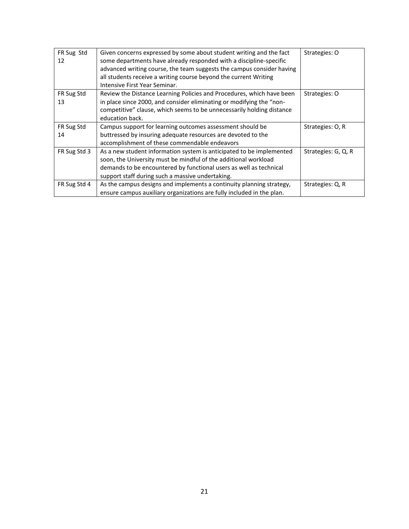| FR Sug Std<br>12 | Given concerns expressed by some about student writing and the fact<br>some departments have already responded with a discipline-specific<br>advanced writing course, the team suggests the campus consider having<br>all students receive a writing course beyond the current Writing<br>Intensive First Year Seminar. | Strategies: O       |
|------------------|-------------------------------------------------------------------------------------------------------------------------------------------------------------------------------------------------------------------------------------------------------------------------------------------------------------------------|---------------------|
| FR Sug Std<br>13 | Review the Distance Learning Policies and Procedures, which have been<br>in place since 2000, and consider eliminating or modifying the "non-<br>competitive" clause, which seems to be unnecessarily holding distance<br>education back.                                                                               | Strategies: O       |
| FR Sug Std<br>14 | Campus support for learning outcomes assessment should be<br>buttressed by insuring adequate resources are devoted to the<br>accomplishment of these commendable endeavors                                                                                                                                              | Strategies: O, R    |
| FR Sug Std 3     | As a new student information system is anticipated to be implemented<br>soon, the University must be mindful of the additional workload<br>demands to be encountered by functional users as well as technical<br>support staff during such a massive undertaking.                                                       | Strategies: G, Q, R |
| FR Sug Std 4     | As the campus designs and implements a continuity planning strategy,<br>ensure campus auxiliary organizations are fully included in the plan.                                                                                                                                                                           | Strategies: Q, R    |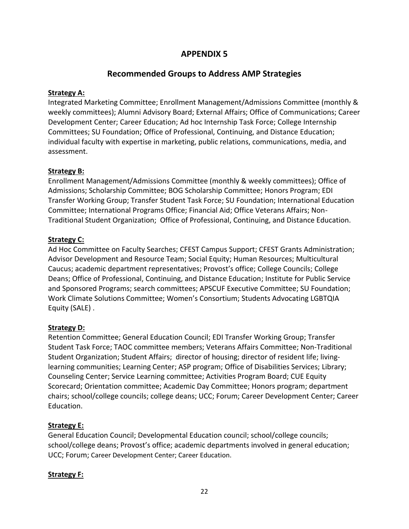# **APPENDIX 5**

# **Recommended Groups to Address AMP Strategies**

### **Strategy A:**

Integrated Marketing Committee; Enrollment Management/Admissions Committee (monthly & weekly committees); Alumni Advisory Board; External Affairs; Office of Communications; Career Development Center; Career Education; Ad hoc Internship Task Force; College Internship Committees; SU Foundation; Office of Professional, Continuing, and Distance Education; individual faculty with expertise in marketing, public relations, communications, media, and assessment.

#### **Strategy B:**

Enrollment Management/Admissions Committee (monthly & weekly committees); Office of Admissions; Scholarship Committee; BOG Scholarship Committee; Honors Program; EDI Transfer Working Group; Transfer Student Task Force; SU Foundation; International Education Committee; International Programs Office; Financial Aid; Office Veterans Affairs; Non-Traditional Student Organization; Office of Professional, Continuing, and Distance Education.

#### **Strategy C:**

Ad Hoc Committee on Faculty Searches; CFEST Campus Support; CFEST Grants Administration; Advisor Development and Resource Team; Social Equity; Human Resources; Multicultural Caucus; academic department representatives; Provost's office; College Councils; College Deans; Office of Professional, Continuing, and Distance Education; Institute for Public Service and Sponsored Programs; search committees; APSCUF Executive Committee; SU Foundation; Work Climate Solutions Committee; Women's Consortium; Students Advocating LGBTQIA Equity (SALE) .

### **Strategy D:**

Retention Committee; General Education Council; EDI Transfer Working Group; Transfer Student Task Force; TAOC committee members; Veterans Affairs Committee; Non-Traditional Student Organization; Student Affairs; director of housing; director of resident life; livinglearning communities; Learning Center; ASP program; Office of Disabilities Services; Library; Counseling Center; Service Learning committee; Activities Program Board; CUE Equity Scorecard; Orientation committee; Academic Day Committee; Honors program; department chairs; school/college councils; college deans; UCC; Forum; Career Development Center; Career Education.

### **Strategy E:**

General Education Council; Developmental Education council; school/college councils; school/college deans; Provost's office; academic departments involved in general education; UCC; Forum; Career Development Center; Career Education.

### **Strategy F:**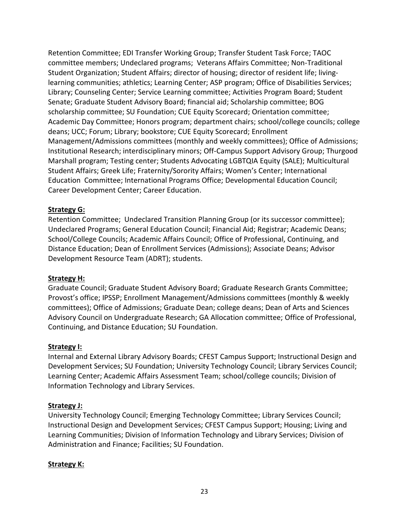Retention Committee; EDI Transfer Working Group; Transfer Student Task Force; TAOC committee members; Undeclared programs; Veterans Affairs Committee; Non-Traditional Student Organization; Student Affairs; director of housing; director of resident life; livinglearning communities; athletics; Learning Center; ASP program; Office of Disabilities Services; Library; Counseling Center; Service Learning committee; Activities Program Board; Student Senate; Graduate Student Advisory Board; financial aid; Scholarship committee; BOG scholarship committee; SU Foundation; CUE Equity Scorecard; Orientation committee; Academic Day Committee; Honors program; department chairs; school/college councils; college deans; UCC; Forum; Library; bookstore; CUE Equity Scorecard; Enrollment Management/Admissions committees (monthly and weekly committees); Office of Admissions; Institutional Research; interdisciplinary minors; Off-Campus Support Advisory Group; Thurgood Marshall program; Testing center; Students Advocating LGBTQIA Equity (SALE); Multicultural Student Affairs; Greek Life; Fraternity/Sorority Affairs; Women's Center; International Education Committee; International Programs Office; Developmental Education Council; Career Development Center; Career Education.

### **Strategy G:**

Retention Committee; Undeclared Transition Planning Group (or its successor committee); Undeclared Programs; General Education Council; Financial Aid; Registrar; Academic Deans; School/College Councils; Academic Affairs Council; Office of Professional, Continuing, and Distance Education; Dean of Enrollment Services (Admissions); Associate Deans; Advisor Development Resource Team (ADRT); students.

#### **Strategy H:**

Graduate Council; Graduate Student Advisory Board; Graduate Research Grants Committee; Provost's office; IPSSP; Enrollment Management/Admissions committees (monthly & weekly committees); Office of Admissions; Graduate Dean; college deans; Dean of Arts and Sciences Advisory Council on Undergraduate Research; GA Allocation committee; Office of Professional, Continuing, and Distance Education; SU Foundation.

#### **Strategy I:**

Internal and External Library Advisory Boards; CFEST Campus Support; Instructional Design and Development Services; SU Foundation; University Technology Council; Library Services Council; Learning Center; Academic Affairs Assessment Team; school/college councils; Division of Information Technology and Library Services.

### **Strategy J:**

University Technology Council; Emerging Technology Committee; Library Services Council; Instructional Design and Development Services; CFEST Campus Support; Housing; Living and Learning Communities; Division of Information Technology and Library Services; Division of Administration and Finance; Facilities; SU Foundation.

### **Strategy K:**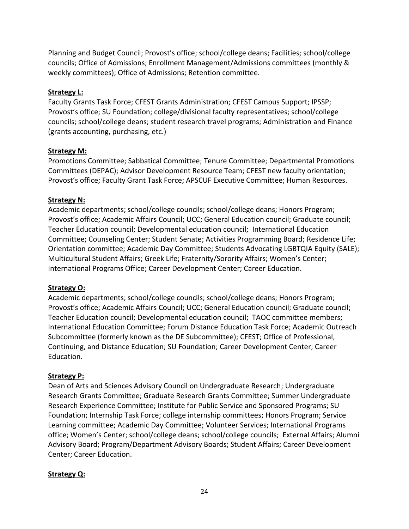Planning and Budget Council; Provost's office; school/college deans; Facilities; school/college councils; Office of Admissions; Enrollment Management/Admissions committees (monthly & weekly committees); Office of Admissions; Retention committee.

### **Strategy L:**

Faculty Grants Task Force; CFEST Grants Administration; CFEST Campus Support; IPSSP; Provost's office; SU Foundation; college/divisional faculty representatives; school/college councils; school/college deans; student research travel programs; Administration and Finance (grants accounting, purchasing, etc.)

### **Strategy M:**

Promotions Committee; Sabbatical Committee; Tenure Committee; Departmental Promotions Committees (DEPAC); Advisor Development Resource Team; CFEST new faculty orientation; Provost's office; Faculty Grant Task Force; APSCUF Executive Committee; Human Resources.

# **Strategy N:**

Academic departments; school/college councils; school/college deans; Honors Program; Provost's office; Academic Affairs Council; UCC; General Education council; Graduate council; Teacher Education council; Developmental education council; International Education Committee; Counseling Center; Student Senate; Activities Programming Board; Residence Life; Orientation committee; Academic Day Committee; Students Advocating LGBTQIA Equity (SALE); Multicultural Student Affairs; Greek Life; Fraternity/Sorority Affairs; Women's Center; International Programs Office; Career Development Center; Career Education.

# **Strategy O:**

Academic departments; school/college councils; school/college deans; Honors Program; Provost's office; Academic Affairs Council; UCC; General Education council; Graduate council; Teacher Education council; Developmental education council; TAOC committee members; International Education Committee; Forum Distance Education Task Force; Academic Outreach Subcommittee (formerly known as the DE Subcommittee); CFEST; Office of Professional, Continuing, and Distance Education; SU Foundation; Career Development Center; Career Education.

# **Strategy P:**

Dean of Arts and Sciences Advisory Council on Undergraduate Research; Undergraduate Research Grants Committee; Graduate Research Grants Committee; Summer Undergraduate Research Experience Committee; Institute for Public Service and Sponsored Programs; SU Foundation; Internship Task Force; college internship committees; Honors Program; Service Learning committee; Academic Day Committee; Volunteer Services; International Programs office; Women's Center; school/college deans; school/college councils; External Affairs; Alumni Advisory Board; Program/Department Advisory Boards; Student Affairs; Career Development Center; Career Education.

# **Strategy Q:**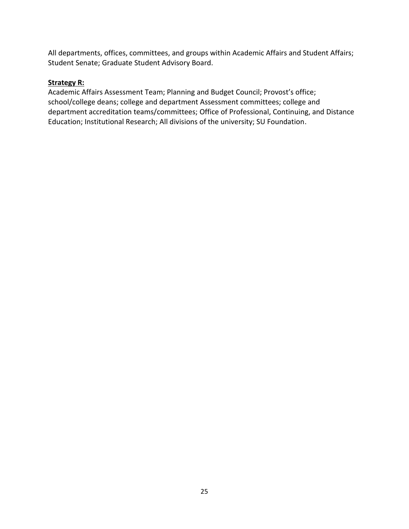All departments, offices, committees, and groups within Academic Affairs and Student Affairs; Student Senate; Graduate Student Advisory Board.

### **Strategy R:**

Academic Affairs Assessment Team; Planning and Budget Council; Provost's office; school/college deans; college and department Assessment committees; college and department accreditation teams/committees; Office of Professional, Continuing, and Distance Education; Institutional Research; All divisions of the university; SU Foundation.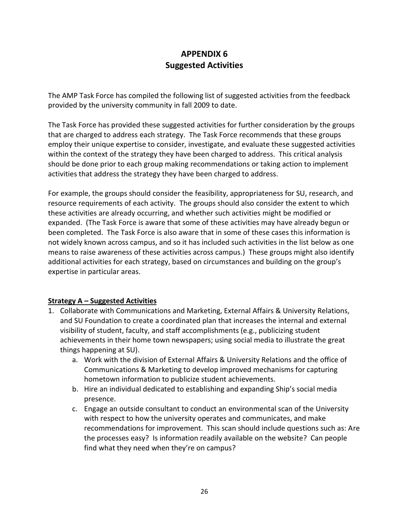# **APPENDIX 6 Suggested Activities**

The AMP Task Force has compiled the following list of suggested activities from the feedback provided by the university community in fall 2009 to date.

The Task Force has provided these suggested activities for further consideration by the groups that are charged to address each strategy. The Task Force recommends that these groups employ their unique expertise to consider, investigate, and evaluate these suggested activities within the context of the strategy they have been charged to address. This critical analysis should be done prior to each group making recommendations or taking action to implement activities that address the strategy they have been charged to address.

For example, the groups should consider the feasibility, appropriateness for SU, research, and resource requirements of each activity. The groups should also consider the extent to which these activities are already occurring, and whether such activities might be modified or expanded. (The Task Force is aware that some of these activities may have already begun or been completed. The Task Force is also aware that in some of these cases this information is not widely known across campus, and so it has included such activities in the list below as one means to raise awareness of these activities across campus.) These groups might also identify additional activities for each strategy, based on circumstances and building on the group's expertise in particular areas.

### **Strategy A – Suggested Activities**

- 1. Collaborate with Communications and Marketing, External Affairs & University Relations, and SU Foundation to create a coordinated plan that increases the internal and external visibility of student, faculty, and staff accomplishments (e.g., publicizing student achievements in their home town newspapers; using social media to illustrate the great things happening at SU).
	- a. Work with the division of External Affairs & University Relations and the office of Communications & Marketing to develop improved mechanisms for capturing hometown information to publicize student achievements.
	- b. Hire an individual dedicated to establishing and expanding Ship's social media presence.
	- c. Engage an outside consultant to conduct an environmental scan of the University with respect to how the university operates and communicates, and make recommendations for improvement. This scan should include questions such as: Are the processes easy? Is information readily available on the website? Can people find what they need when they're on campus?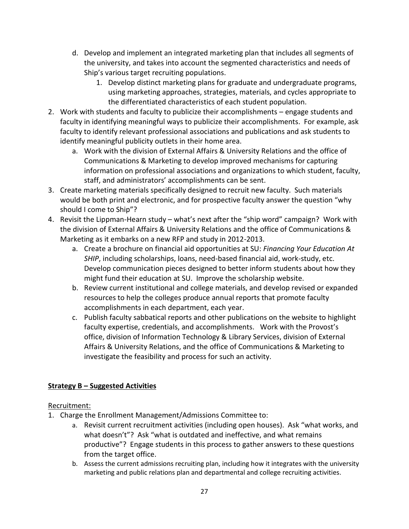- d. Develop and implement an integrated marketing plan that includes all segments of the university, and takes into account the segmented characteristics and needs of Ship's various target recruiting populations.
	- 1. Develop distinct marketing plans for graduate and undergraduate programs, using marketing approaches, strategies, materials, and cycles appropriate to the differentiated characteristics of each student population.
- 2. Work with students and faculty to publicize their accomplishments engage students and faculty in identifying meaningful ways to publicize their accomplishments. For example, ask faculty to identify relevant professional associations and publications and ask students to identify meaningful publicity outlets in their home area.
	- a. Work with the division of External Affairs & University Relations and the office of Communications & Marketing to develop improved mechanisms for capturing information on professional associations and organizations to which student, faculty, staff, and administrators' accomplishments can be sent.
- 3. Create marketing materials specifically designed to recruit new faculty. Such materials would be both print and electronic, and for prospective faculty answer the question "why should I come to Ship"?
- 4. Revisit the Lippman-Hearn study what's next after the "ship word" campaign? Work with the division of External Affairs & University Relations and the office of Communications & Marketing as it embarks on a new RFP and study in 2012-2013.
	- a. Create a brochure on financial aid opportunities at SU: *Financing Your Education At SHIP*, including scholarships, loans, need-based financial aid, work-study, etc. Develop communication pieces designed to better inform students about how they might fund their education at SU. Improve the scholarship website.
	- b. Review current institutional and college materials, and develop revised or expanded resources to help the colleges produce annual reports that promote faculty accomplishments in each department, each year.
	- c. Publish faculty sabbatical reports and other publications on the website to highlight faculty expertise, credentials, and accomplishments. Work with the Provost's office, division of Information Technology & Library Services, division of External Affairs & University Relations, and the office of Communications & Marketing to investigate the feasibility and process for such an activity.

# **Strategy B – Suggested Activities**

# Recruitment:

- 1. Charge the Enrollment Management/Admissions Committee to:
	- a. Revisit current recruitment activities (including open houses). Ask "what works, and what doesn't"? Ask "what is outdated and ineffective, and what remains productive"? Engage students in this process to gather answers to these questions from the target office.
	- b. Assess the current admissions recruiting plan, including how it integrates with the university marketing and public relations plan and departmental and college recruiting activities.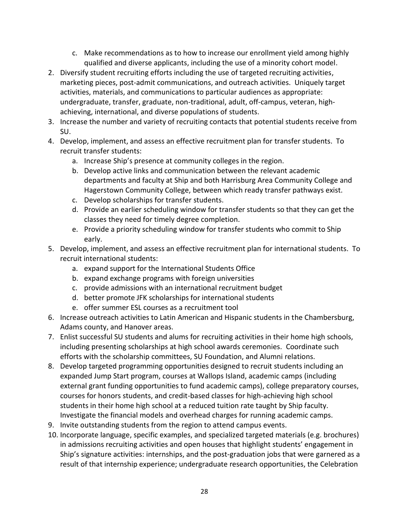- c. Make recommendations as to how to increase our enrollment yield among highly qualified and diverse applicants, including the use of a minority cohort model.
- 2. Diversify student recruiting efforts including the use of targeted recruiting activities, marketing pieces, post-admit communications, and outreach activities. Uniquely target activities, materials, and communications to particular audiences as appropriate: undergraduate, transfer, graduate, non-traditional, adult, off-campus, veteran, highachieving, international, and diverse populations of students.
- 3. Increase the number and variety of recruiting contacts that potential students receive from SU.
- 4. Develop, implement, and assess an effective recruitment plan for transfer students. To recruit transfer students:
	- a. Increase Ship's presence at community colleges in the region.
	- b. Develop active links and communication between the relevant academic departments and faculty at Ship and both Harrisburg Area Community College and Hagerstown Community College, between which ready transfer pathways exist.
	- c. Develop scholarships for transfer students.
	- d. Provide an earlier scheduling window for transfer students so that they can get the classes they need for timely degree completion.
	- e. Provide a priority scheduling window for transfer students who commit to Ship early.
- 5. Develop, implement, and assess an effective recruitment plan for international students. To recruit international students:
	- a. expand support for the International Students Office
	- b. expand exchange programs with foreign universities
	- c. provide admissions with an international recruitment budget
	- d. better promote JFK scholarships for international students
	- e. offer summer ESL courses as a recruitment tool
- 6. Increase outreach activities to Latin American and Hispanic students in the Chambersburg, Adams county, and Hanover areas.
- 7. Enlist successful SU students and alums for recruiting activities in their home high schools, including presenting scholarships at high school awards ceremonies. Coordinate such efforts with the scholarship committees, SU Foundation, and Alumni relations.
- 8. Develop targeted programming opportunities designed to recruit students including an expanded Jump Start program, courses at Wallops Island, academic camps (including external grant funding opportunities to fund academic camps), college preparatory courses, courses for honors students, and credit-based classes for high-achieving high school students in their home high school at a reduced tuition rate taught by Ship faculty. Investigate the financial models and overhead charges for running academic camps.
- 9. Invite outstanding students from the region to attend campus events.
- 10. Incorporate language, specific examples, and specialized targeted materials (e.g. brochures) in admissions recruiting activities and open houses that highlight students' engagement in Ship's signature activities: internships, and the post-graduation jobs that were garnered as a result of that internship experience; undergraduate research opportunities, the Celebration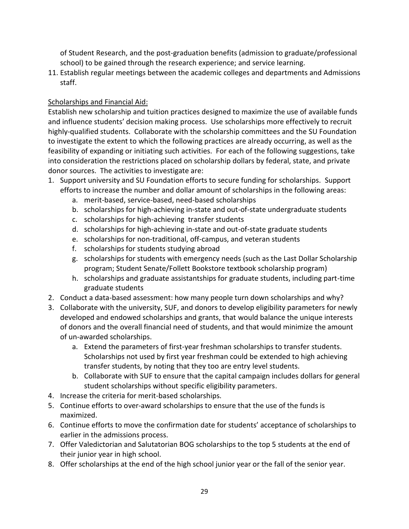of Student Research, and the post-graduation benefits (admission to graduate/professional school) to be gained through the research experience; and service learning.

11. Establish regular meetings between the academic colleges and departments and Admissions staff.

# Scholarships and Financial Aid:

Establish new scholarship and tuition practices designed to maximize the use of available funds and influence students' decision making process. Use scholarships more effectively to recruit highly-qualified students. Collaborate with the scholarship committees and the SU Foundation to investigate the extent to which the following practices are already occurring, as well as the feasibility of expanding or initiating such activities. For each of the following suggestions, take into consideration the restrictions placed on scholarship dollars by federal, state, and private donor sources. The activities to investigate are:

- 1. Support university and SU Foundation efforts to secure funding for scholarships. Support efforts to increase the number and dollar amount of scholarships in the following areas:
	- a. merit-based, service-based, need-based scholarships
	- b. scholarships for high-achieving in-state and out-of-state undergraduate students
	- c. scholarships for high-achieving transfer students
	- d. scholarships for high-achieving in-state and out-of-state graduate students
	- e. scholarships for non-traditional, off-campus, and veteran students
	- f. scholarships for students studying abroad
	- g. scholarships for students with emergency needs (such as the Last Dollar Scholarship program; Student Senate/Follett Bookstore textbook scholarship program)
	- h. scholarships and graduate assistantships for graduate students, including part-time graduate students
- 2. Conduct a data-based assessment: how many people turn down scholarships and why?
- 3. Collaborate with the university, SUF, and donors to develop eligibility parameters for newly developed and endowed scholarships and grants, that would balance the unique interests of donors and the overall financial need of students, and that would minimize the amount of un-awarded scholarships.
	- a. Extend the parameters of first-year freshman scholarships to transfer students. Scholarships not used by first year freshman could be extended to high achieving transfer students, by noting that they too are entry level students.
	- b. Collaborate with SUF to ensure that the capital campaign includes dollars for general student scholarships without specific eligibility parameters.
- 4. Increase the criteria for merit-based scholarships.
- 5. Continue efforts to over-award scholarships to ensure that the use of the funds is maximized.
- 6. Continue efforts to move the confirmation date for students' acceptance of scholarships to earlier in the admissions process.
- 7. Offer Valedictorian and Salutatorian BOG scholarships to the top 5 students at the end of their junior year in high school.
- 8. Offer scholarships at the end of the high school junior year or the fall of the senior year.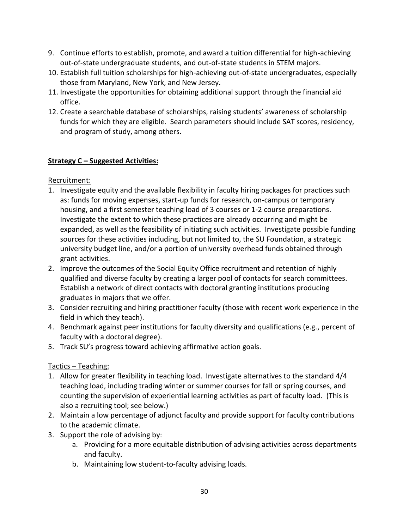- 9. Continue efforts to establish, promote, and award a tuition differential for high-achieving out-of-state undergraduate students, and out-of-state students in STEM majors.
- 10. Establish full tuition scholarships for high-achieving out-of-state undergraduates, especially those from Maryland, New York, and New Jersey.
- 11. Investigate the opportunities for obtaining additional support through the financial aid office.
- 12. Create a searchable database of scholarships, raising students' awareness of scholarship funds for which they are eligible. Search parameters should include SAT scores, residency, and program of study, among others.

### **Strategy C – Suggested Activities:**

Recruitment:

- 1. Investigate equity and the available flexibility in faculty hiring packages for practices such as: funds for moving expenses, start-up funds for research, on-campus or temporary housing, and a first semester teaching load of 3 courses or 1-2 course preparations. Investigate the extent to which these practices are already occurring and might be expanded, as well as the feasibility of initiating such activities. Investigate possible funding sources for these activities including, but not limited to, the SU Foundation, a strategic university budget line, and/or a portion of university overhead funds obtained through grant activities.
- 2. Improve the outcomes of the Social Equity Office recruitment and retention of highly qualified and diverse faculty by creating a larger pool of contacts for search committees. Establish a network of direct contacts with doctoral granting institutions producing graduates in majors that we offer.
- 3. Consider recruiting and hiring practitioner faculty (those with recent work experience in the field in which they teach).
- 4. Benchmark against peer institutions for faculty diversity and qualifications (e.g., percent of faculty with a doctoral degree).
- 5. Track SU's progress toward achieving affirmative action goals.

# Tactics – Teaching:

- 1. Allow for greater flexibility in teaching load. Investigate alternatives to the standard 4/4 teaching load, including trading winter or summer courses for fall or spring courses, and counting the supervision of experiential learning activities as part of faculty load. (This is also a recruiting tool; see below.)
- 2. Maintain a low percentage of adjunct faculty and provide support for faculty contributions to the academic climate.
- 3. Support the role of advising by:
	- a. Providing for a more equitable distribution of advising activities across departments and faculty.
	- b. Maintaining low student-to-faculty advising loads.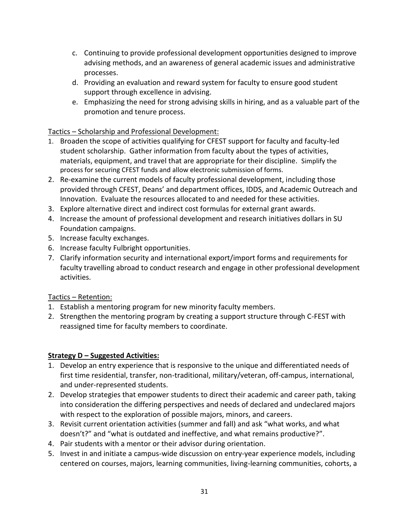- c. Continuing to provide professional development opportunities designed to improve advising methods, and an awareness of general academic issues and administrative processes.
- d. Providing an evaluation and reward system for faculty to ensure good student support through excellence in advising.
- e. Emphasizing the need for strong advising skills in hiring, and as a valuable part of the promotion and tenure process.

# Tactics – Scholarship and Professional Development:

- 1. Broaden the scope of activities qualifying for CFEST support for faculty and faculty-led student scholarship. Gather information from faculty about the types of activities, materials, equipment, and travel that are appropriate for their discipline. Simplify the process for securing CFEST funds and allow electronic submission of forms.
- 2. Re-examine the current models of faculty professional development, including those provided through CFEST, Deans' and department offices, IDDS, and Academic Outreach and Innovation. Evaluate the resources allocated to and needed for these activities.
- 3. Explore alternative direct and indirect cost formulas for external grant awards.
- 4. Increase the amount of professional development and research initiatives dollars in SU Foundation campaigns.
- 5. Increase faculty exchanges.
- 6. Increase faculty Fulbright opportunities.
- 7. Clarify information security and international export/import forms and requirements for faculty travelling abroad to conduct research and engage in other professional development activities.

# Tactics – Retention:

- 1. Establish a mentoring program for new minority faculty members.
- 2. Strengthen the mentoring program by creating a support structure through C-FEST with reassigned time for faculty members to coordinate.

### **Strategy D – Suggested Activities:**

- 1. Develop an entry experience that is responsive to the unique and differentiated needs of first time residential, transfer, non-traditional, military/veteran, off-campus, international, and under-represented students.
- 2. Develop strategies that empower students to direct their academic and career path, taking into consideration the differing perspectives and needs of declared and undeclared majors with respect to the exploration of possible majors, minors, and careers.
- 3. Revisit current orientation activities (summer and fall) and ask "what works, and what doesn't?" and "what is outdated and ineffective, and what remains productive?".
- 4. Pair students with a mentor or their advisor during orientation.
- 5. Invest in and initiate a campus-wide discussion on entry-year experience models, including centered on courses, majors, learning communities, living-learning communities, cohorts, a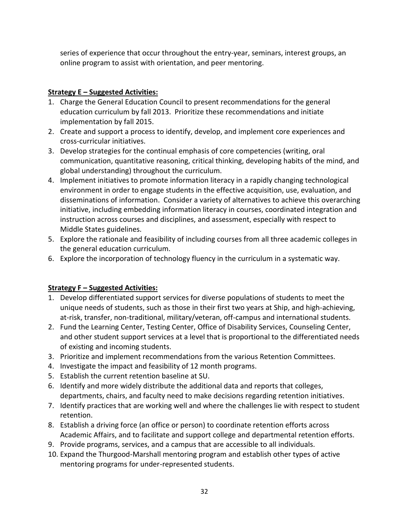series of experience that occur throughout the entry-year, seminars, interest groups, an online program to assist with orientation, and peer mentoring.

# **Strategy E – Suggested Activities:**

- 1. Charge the General Education Council to present recommendations for the general education curriculum by fall 2013. Prioritize these recommendations and initiate implementation by fall 2015.
- 2. Create and support a process to identify, develop, and implement core experiences and cross-curricular initiatives.
- 3. Develop strategies for the continual emphasis of core competencies (writing, oral communication, quantitative reasoning, critical thinking, developing habits of the mind, and global understanding) throughout the curriculum.
- 4. Implement initiatives to promote information literacy in a rapidly changing technological environment in order to engage students in the effective acquisition, use, evaluation, and disseminations of information. Consider a variety of alternatives to achieve this overarching initiative, including embedding information literacy in courses, coordinated integration and instruction across courses and disciplines, and assessment, especially with respect to Middle States guidelines.
- 5. Explore the rationale and feasibility of including courses from all three academic colleges in the general education curriculum.
- 6. Explore the incorporation of technology fluency in the curriculum in a systematic way.

# **Strategy F – Suggested Activities:**

- 1. Develop differentiated support services for diverse populations of students to meet the unique needs of students, such as those in their first two years at Ship, and high-achieving, at-risk, transfer, non-traditional, military/veteran, off-campus and international students.
- 2. Fund the Learning Center, Testing Center, Office of Disability Services, Counseling Center, and other student support services at a level that is proportional to the differentiated needs of existing and incoming students.
- 3. Prioritize and implement recommendations from the various Retention Committees.
- 4. Investigate the impact and feasibility of 12 month programs.
- 5. Establish the current retention baseline at SU.
- 6. Identify and more widely distribute the additional data and reports that colleges, departments, chairs, and faculty need to make decisions regarding retention initiatives.
- 7. Identify practices that are working well and where the challenges lie with respect to student retention.
- 8. Establish a driving force (an office or person) to coordinate retention efforts across Academic Affairs, and to facilitate and support college and departmental retention efforts.
- 9. Provide programs, services, and a campus that are accessible to all individuals.
- 10. Expand the Thurgood-Marshall mentoring program and establish other types of active mentoring programs for under-represented students.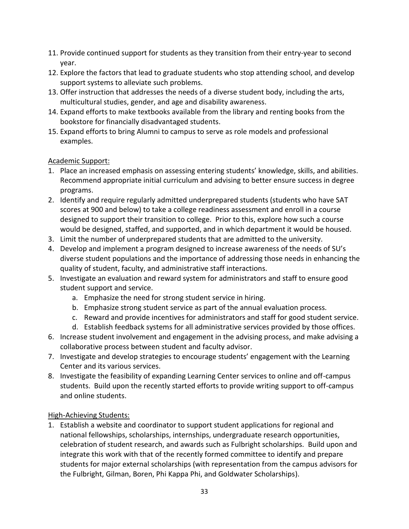- 11. Provide continued support for students as they transition from their entry-year to second year.
- 12. Explore the factors that lead to graduate students who stop attending school, and develop support systems to alleviate such problems.
- 13. Offer instruction that addresses the needs of a diverse student body, including the arts, multicultural studies, gender, and age and disability awareness.
- 14. Expand efforts to make textbooks available from the library and renting books from the bookstore for financially disadvantaged students.
- 15. Expand efforts to bring Alumni to campus to serve as role models and professional examples.

### Academic Support:

- 1. Place an increased emphasis on assessing entering students' knowledge, skills, and abilities. Recommend appropriate initial curriculum and advising to better ensure success in degree programs.
- 2. Identify and require regularly admitted underprepared students (students who have SAT scores at 900 and below) to take a college readiness assessment and enroll in a course designed to support their transition to college. Prior to this, explore how such a course would be designed, staffed, and supported, and in which department it would be housed.
- 3. Limit the number of underprepared students that are admitted to the university.
- 4. Develop and implement a program designed to increase awareness of the needs of SU's diverse student populations and the importance of addressing those needs in enhancing the quality of student, faculty, and administrative staff interactions.
- 5. Investigate an evaluation and reward system for administrators and staff to ensure good student support and service.
	- a. Emphasize the need for strong student service in hiring.
	- b. Emphasize strong student service as part of the annual evaluation process.
	- c. Reward and provide incentives for administrators and staff for good student service.
	- d. Establish feedback systems for all administrative services provided by those offices.
- 6. Increase student involvement and engagement in the advising process, and make advising a collaborative process between student and faculty advisor.
- 7. Investigate and develop strategies to encourage students' engagement with the Learning Center and its various services.
- 8. Investigate the feasibility of expanding Learning Center services to online and off-campus students. Build upon the recently started efforts to provide writing support to off-campus and online students.

### High-Achieving Students:

1. Establish a website and coordinator to support student applications for regional and national fellowships, scholarships, internships, undergraduate research opportunities, celebration of student research, and awards such as Fulbright scholarships. Build upon and integrate this work with that of the recently formed committee to identify and prepare students for major external scholarships (with representation from the campus advisors for the Fulbright, Gilman, Boren, Phi Kappa Phi, and Goldwater Scholarships).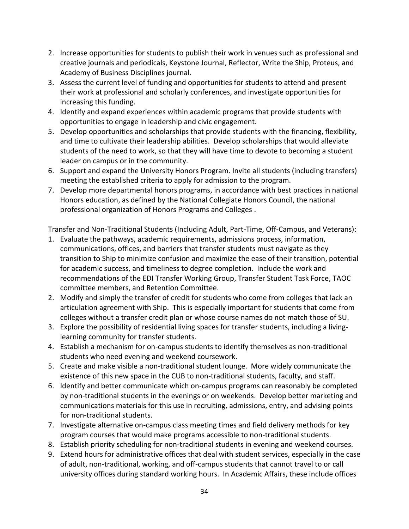- 2. Increase opportunities for students to publish their work in venues such as professional and creative journals and periodicals, Keystone Journal, Reflector, Write the Ship, Proteus, and Academy of Business Disciplines journal.
- 3. Assess the current level of funding and opportunities for students to attend and present their work at professional and scholarly conferences, and investigate opportunities for increasing this funding.
- 4. Identify and expand experiences within academic programs that provide students with opportunities to engage in leadership and civic engagement.
- 5. Develop opportunities and scholarships that provide students with the financing, flexibility, and time to cultivate their leadership abilities. Develop scholarships that would alleviate students of the need to work, so that they will have time to devote to becoming a student leader on campus or in the community.
- 6. Support and expand the University Honors Program. Invite all students (including transfers) meeting the established criteria to apply for admission to the program.
- 7. Develop more departmental honors programs, in accordance with best practices in national Honors education, as defined by the National Collegiate Honors Council, the national professional organization of Honors Programs and Colleges .

# Transfer and Non-Traditional Students (Including Adult, Part-Time, Off-Campus, and Veterans):

- 1. Evaluate the pathways, academic requirements, admissions process, information, communications, offices, and barriers that transfer students must navigate as they transition to Ship to minimize confusion and maximize the ease of their transition, potential for academic success, and timeliness to degree completion. Include the work and recommendations of the EDI Transfer Working Group, Transfer Student Task Force, TAOC committee members, and Retention Committee.
- 2. Modify and simply the transfer of credit for students who come from colleges that lack an articulation agreement with Ship. This is especially important for students that come from colleges without a transfer credit plan or whose course names do not match those of SU.
- 3. Explore the possibility of residential living spaces for transfer students, including a livinglearning community for transfer students.
- 4. Establish a mechanism for on-campus students to identify themselves as non-traditional students who need evening and weekend coursework.
- 5. Create and make visible a non-traditional student lounge. More widely communicate the existence of this new space in the CUB to non-traditional students, faculty, and staff.
- 6. Identify and better communicate which on-campus programs can reasonably be completed by non-traditional students in the evenings or on weekends. Develop better marketing and communications materials for this use in recruiting, admissions, entry, and advising points for non-traditional students.
- 7. Investigate alternative on-campus class meeting times and field delivery methods for key program courses that would make programs accessible to non-traditional students.
- 8. Establish priority scheduling for non-traditional students in evening and weekend courses.
- 9. Extend hours for administrative offices that deal with student services, especially in the case of adult, non-traditional, working, and off-campus students that cannot travel to or call university offices during standard working hours. In Academic Affairs, these include offices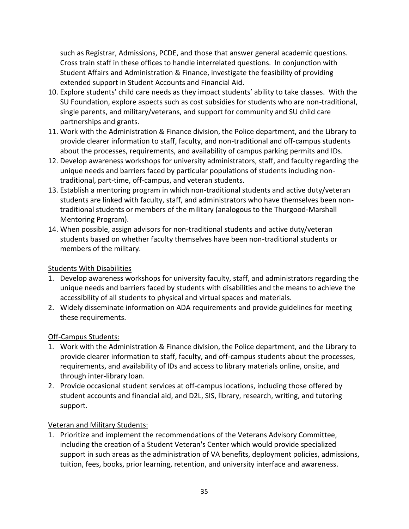such as Registrar, Admissions, PCDE, and those that answer general academic questions. Cross train staff in these offices to handle interrelated questions. In conjunction with Student Affairs and Administration & Finance, investigate the feasibility of providing extended support in Student Accounts and Financial Aid.

- 10. Explore students' child care needs as they impact students' ability to take classes. With the SU Foundation, explore aspects such as cost subsidies for students who are non-traditional, single parents, and military/veterans, and support for community and SU child care partnerships and grants.
- 11. Work with the Administration & Finance division, the Police department, and the Library to provide clearer information to staff, faculty, and non-traditional and off-campus students about the processes, requirements, and availability of campus parking permits and IDs.
- 12. Develop awareness workshops for university administrators, staff, and faculty regarding the unique needs and barriers faced by particular populations of students including nontraditional, part-time, off-campus, and veteran students.
- 13. Establish a mentoring program in which non-traditional students and active duty/veteran students are linked with faculty, staff, and administrators who have themselves been nontraditional students or members of the military (analogous to the Thurgood-Marshall Mentoring Program).
- 14. When possible, assign advisors for non-traditional students and active duty/veteran students based on whether faculty themselves have been non-traditional students or members of the military.

### Students With Disabilities

- 1. Develop awareness workshops for university faculty, staff, and administrators regarding the unique needs and barriers faced by students with disabilities and the means to achieve the accessibility of all students to physical and virtual spaces and materials.
- 2. Widely disseminate information on ADA requirements and provide guidelines for meeting these requirements.

# Off-Campus Students:

- 1. Work with the Administration & Finance division, the Police department, and the Library to provide clearer information to staff, faculty, and off-campus students about the processes, requirements, and availability of IDs and access to library materials online, onsite, and through inter-library loan.
- 2. Provide occasional student services at off-campus locations, including those offered by student accounts and financial aid, and D2L, SIS, library, research, writing, and tutoring support.

# Veteran and Military Students:

1. Prioritize and implement the recommendations of the Veterans Advisory Committee, including the creation of a Student Veteran's Center which would provide specialized support in such areas as the administration of VA benefits, deployment policies, admissions, tuition, fees, books, prior learning, retention, and university interface and awareness.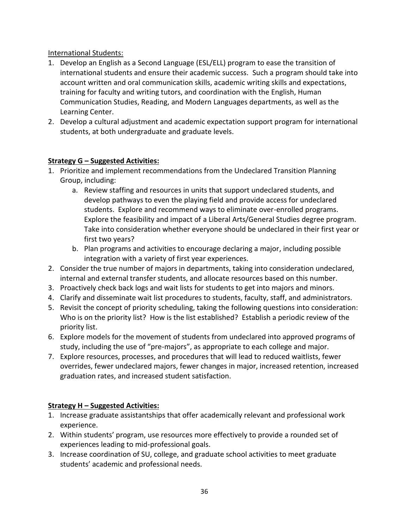### International Students:

- 1. Develop an English as a Second Language (ESL/ELL) program to ease the transition of international students and ensure their academic success. Such a program should take into account written and oral communication skills, academic writing skills and expectations, training for faculty and writing tutors, and coordination with the English, Human Communication Studies, Reading, and Modern Languages departments, as well as the Learning Center.
- 2. Develop a cultural adjustment and academic expectation support program for international students, at both undergraduate and graduate levels.

### **Strategy G – Suggested Activities:**

- 1. Prioritize and implement recommendations from the Undeclared Transition Planning Group, including:
	- a. Review staffing and resources in units that support undeclared students, and develop pathways to even the playing field and provide access for undeclared students. Explore and recommend ways to eliminate over-enrolled programs. Explore the feasibility and impact of a Liberal Arts/General Studies degree program. Take into consideration whether everyone should be undeclared in their first year or first two years?
	- b. Plan programs and activities to encourage declaring a major, including possible integration with a variety of first year experiences.
- 2. Consider the true number of majors in departments, taking into consideration undeclared, internal and external transfer students, and allocate resources based on this number.
- 3. Proactively check back logs and wait lists for students to get into majors and minors.
- 4. Clarify and disseminate wait list procedures to students, faculty, staff, and administrators.
- 5. Revisit the concept of priority scheduling, taking the following questions into consideration: Who is on the priority list? How is the list established? Establish a periodic review of the priority list.
- 6. Explore models for the movement of students from undeclared into approved programs of study, including the use of "pre-majors", as appropriate to each college and major.
- 7. Explore resources, processes, and procedures that will lead to reduced waitlists, fewer overrides, fewer undeclared majors, fewer changes in major, increased retention, increased graduation rates, and increased student satisfaction.

# **Strategy H – Suggested Activities:**

- 1. Increase graduate assistantships that offer academically relevant and professional work experience.
- 2. Within students' program, use resources more effectively to provide a rounded set of experiences leading to mid-professional goals.
- 3. Increase coordination of SU, college, and graduate school activities to meet graduate students' academic and professional needs.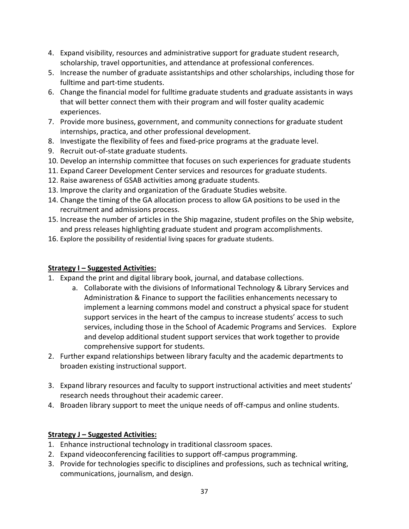- 4. Expand visibility, resources and administrative support for graduate student research, scholarship, travel opportunities, and attendance at professional conferences.
- 5. Increase the number of graduate assistantships and other scholarships, including those for fulltime and part-time students.
- 6. Change the financial model for fulltime graduate students and graduate assistants in ways that will better connect them with their program and will foster quality academic experiences.
- 7. Provide more business, government, and community connections for graduate student internships, practica, and other professional development.
- 8. Investigate the flexibility of fees and fixed-price programs at the graduate level.
- 9. Recruit out-of-state graduate students.
- 10. Develop an internship committee that focuses on such experiences for graduate students
- 11. Expand Career Development Center services and resources for graduate students.
- 12. Raise awareness of GSAB activities among graduate students.
- 13. Improve the clarity and organization of the Graduate Studies website.
- 14. Change the timing of the GA allocation process to allow GA positions to be used in the recruitment and admissions process.
- 15. Increase the number of articles in the Ship magazine, student profiles on the Ship website, and press releases highlighting graduate student and program accomplishments.
- 16. Explore the possibility of residential living spaces for graduate students.

# **Strategy I – Suggested Activities:**

- 1. Expand the print and digital library book, journal, and database collections.
	- a. Collaborate with the divisions of Informational Technology & Library Services and Administration & Finance to support the facilities enhancements necessary to implement a learning commons model and construct a physical space for student support services in the heart of the campus to increase students' access to such services, including those in the School of Academic Programs and Services. Explore and develop additional student support services that work together to provide comprehensive support for students.
- 2. Further expand relationships between library faculty and the academic departments to broaden existing instructional support.
- 3. Expand library resources and faculty to support instructional activities and meet students' research needs throughout their academic career.
- 4. Broaden library support to meet the unique needs of off-campus and online students.

# **Strategy J – Suggested Activities:**

- 1. Enhance instructional technology in traditional classroom spaces.
- 2. Expand videoconferencing facilities to support off-campus programming.
- 3. Provide for technologies specific to disciplines and professions, such as technical writing, communications, journalism, and design.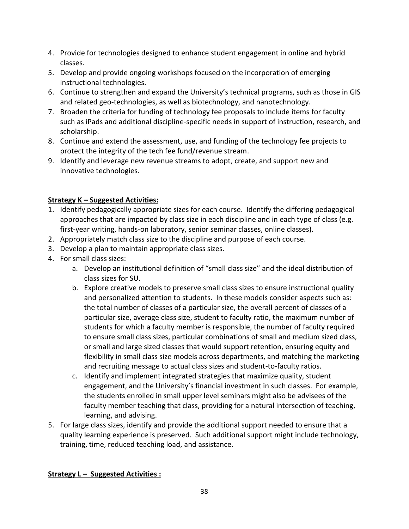- 4. Provide for technologies designed to enhance student engagement in online and hybrid classes.
- 5. Develop and provide ongoing workshops focused on the incorporation of emerging instructional technologies.
- 6. Continue to strengthen and expand the University's technical programs, such as those in GIS and related geo-technologies, as well as biotechnology, and nanotechnology.
- 7. Broaden the criteria for funding of technology fee proposals to include items for faculty such as iPads and additional discipline-specific needs in support of instruction, research, and scholarship.
- 8. Continue and extend the assessment, use, and funding of the technology fee projects to protect the integrity of the tech fee fund/revenue stream.
- 9. Identify and leverage new revenue streams to adopt, create, and support new and innovative technologies.

# **Strategy K – Suggested Activities:**

- 1. Identify pedagogically appropriate sizes for each course. Identify the differing pedagogical approaches that are impacted by class size in each discipline and in each type of class (e.g. first-year writing, hands-on laboratory, senior seminar classes, online classes).
- 2. Appropriately match class size to the discipline and purpose of each course.
- 3. Develop a plan to maintain appropriate class sizes.
- 4. For small class sizes:
	- a. Develop an institutional definition of "small class size" and the ideal distribution of class sizes for SU.
	- b. Explore creative models to preserve small class sizes to ensure instructional quality and personalized attention to students. In these models consider aspects such as: the total number of classes of a particular size, the overall percent of classes of a particular size, average class size, student to faculty ratio, the maximum number of students for which a faculty member is responsible, the number of faculty required to ensure small class sizes, particular combinations of small and medium sized class, or small and large sized classes that would support retention, ensuring equity and flexibility in small class size models across departments, and matching the marketing and recruiting message to actual class sizes and student-to-faculty ratios.
	- c. Identify and implement integrated strategies that maximize quality, student engagement, and the University's financial investment in such classes. For example, the students enrolled in small upper level seminars might also be advisees of the faculty member teaching that class, providing for a natural intersection of teaching, learning, and advising.
- 5. For large class sizes, identify and provide the additional support needed to ensure that a quality learning experience is preserved. Such additional support might include technology, training, time, reduced teaching load, and assistance.

# **Strategy L – Suggested Activities :**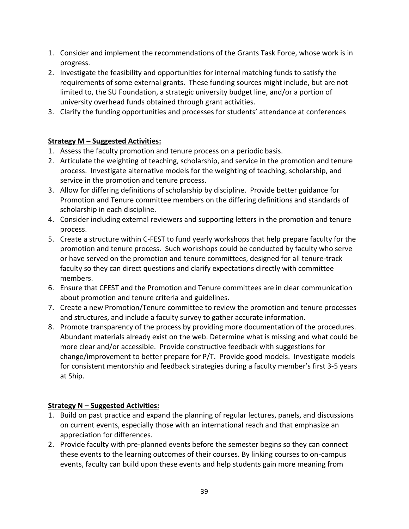- 1. Consider and implement the recommendations of the Grants Task Force, whose work is in progress.
- 2. Investigate the feasibility and opportunities for internal matching funds to satisfy the requirements of some external grants. These funding sources might include, but are not limited to, the SU Foundation, a strategic university budget line, and/or a portion of university overhead funds obtained through grant activities.
- 3. Clarify the funding opportunities and processes for students' attendance at conferences

### **Strategy M – Suggested Activities:**

- 1. Assess the faculty promotion and tenure process on a periodic basis.
- 2. Articulate the weighting of teaching, scholarship, and service in the promotion and tenure process. Investigate alternative models for the weighting of teaching, scholarship, and service in the promotion and tenure process.
- 3. Allow for differing definitions of scholarship by discipline. Provide better guidance for Promotion and Tenure committee members on the differing definitions and standards of scholarship in each discipline.
- 4. Consider including external reviewers and supporting letters in the promotion and tenure process.
- 5. Create a structure within C-FEST to fund yearly workshops that help prepare faculty for the promotion and tenure process. Such workshops could be conducted by faculty who serve or have served on the promotion and tenure committees, designed for all tenure-track faculty so they can direct questions and clarify expectations directly with committee members.
- 6. Ensure that CFEST and the Promotion and Tenure committees are in clear communication about promotion and tenure criteria and guidelines.
- 7. Create a new Promotion/Tenure committee to review the promotion and tenure processes and structures, and include a faculty survey to gather accurate information.
- 8. Promote transparency of the process by providing more documentation of the procedures. Abundant materials already exist on the web. Determine what is missing and what could be more clear and/or accessible. Provide constructive feedback with suggestions for change/improvement to better prepare for P/T. Provide good models. Investigate models for consistent mentorship and feedback strategies during a faculty member's first 3-5 years at Ship.

# **Strategy N – Suggested Activities:**

- 1. Build on past practice and expand the planning of regular lectures, panels, and discussions on current events, especially those with an international reach and that emphasize an appreciation for differences.
- 2. Provide faculty with pre-planned events before the semester begins so they can connect these events to the learning outcomes of their courses. By linking courses to on-campus events, faculty can build upon these events and help students gain more meaning from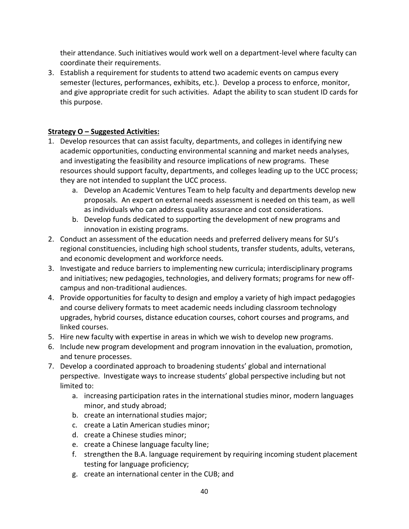their attendance. Such initiatives would work well on a department-level where faculty can coordinate their requirements.

3. Establish a requirement for students to attend two academic events on campus every semester (lectures, performances, exhibits, etc.). Develop a process to enforce, monitor, and give appropriate credit for such activities. Adapt the ability to scan student ID cards for this purpose.

### **Strategy O – Suggested Activities:**

- 1. Develop resources that can assist faculty, departments, and colleges in identifying new academic opportunities, conducting environmental scanning and market needs analyses, and investigating the feasibility and resource implications of new programs. These resources should support faculty, departments, and colleges leading up to the UCC process; they are not intended to supplant the UCC process.
	- a. Develop an Academic Ventures Team to help faculty and departments develop new proposals. An expert on external needs assessment is needed on this team, as well as individuals who can address quality assurance and cost considerations.
	- b. Develop funds dedicated to supporting the development of new programs and innovation in existing programs.
- 2. Conduct an assessment of the education needs and preferred delivery means for SU's regional constituencies, including high school students, transfer students, adults, veterans, and economic development and workforce needs.
- 3. Investigate and reduce barriers to implementing new curricula; interdisciplinary programs and initiatives; new pedagogies, technologies, and delivery formats; programs for new offcampus and non-traditional audiences.
- 4. Provide opportunities for faculty to design and employ a variety of high impact pedagogies and course delivery formats to meet academic needs including classroom technology upgrades, hybrid courses, distance education courses, cohort courses and programs, and linked courses.
- 5. Hire new faculty with expertise in areas in which we wish to develop new programs.
- 6. Include new program development and program innovation in the evaluation, promotion, and tenure processes.
- 7. Develop a coordinated approach to broadening students' global and international perspective. Investigate ways to increase students' global perspective including but not limited to:
	- a. increasing participation rates in the international studies minor, modern languages minor, and study abroad;
	- b. create an international studies major;
	- c. create a Latin American studies minor;
	- d. create a Chinese studies minor;
	- e. create a Chinese language faculty line;
	- f. strengthen the B.A. language requirement by requiring incoming student placement testing for language proficiency;
	- g. create an international center in the CUB; and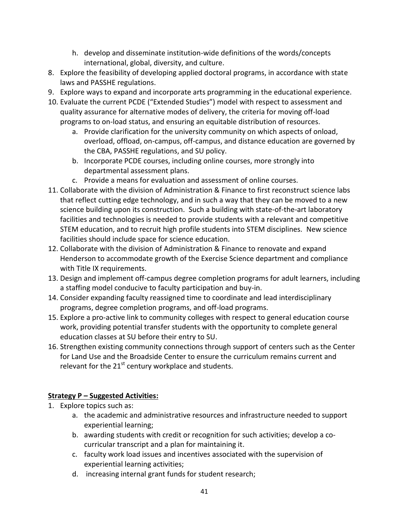- h. develop and disseminate institution-wide definitions of the words/concepts international, global, diversity, and culture.
- 8. Explore the feasibility of developing applied doctoral programs, in accordance with state laws and PASSHE regulations.
- 9. Explore ways to expand and incorporate arts programming in the educational experience.
- 10. Evaluate the current PCDE ("Extended Studies") model with respect to assessment and quality assurance for alternative modes of delivery, the criteria for moving off-load programs to on-load status, and ensuring an equitable distribution of resources.
	- a. Provide clarification for the university community on which aspects of onload, overload, offload, on-campus, off-campus, and distance education are governed by the CBA, PASSHE regulations, and SU policy.
	- b. Incorporate PCDE courses, including online courses, more strongly into departmental assessment plans.
	- c. Provide a means for evaluation and assessment of online courses.
- 11. Collaborate with the division of Administration & Finance to first reconstruct science labs that reflect cutting edge technology, and in such a way that they can be moved to a new science building upon its construction. Such a building with state-of-the-art laboratory facilities and technologies is needed to provide students with a relevant and competitive STEM education, and to recruit high profile students into STEM disciplines. New science facilities should include space for science education.
- 12. Collaborate with the division of Administration & Finance to renovate and expand Henderson to accommodate growth of the Exercise Science department and compliance with Title IX requirements.
- 13. Design and implement off-campus degree completion programs for adult learners, including a staffing model conducive to faculty participation and buy-in.
- 14. Consider expanding faculty reassigned time to coordinate and lead interdisciplinary programs, degree completion programs, and off-load programs.
- 15. Explore a pro-active link to community colleges with respect to general education course work, providing potential transfer students with the opportunity to complete general education classes at SU before their entry to SU.
- 16. Strengthen existing community connections through support of centers such as the Center for Land Use and the Broadside Center to ensure the curriculum remains current and relevant for the  $21^{st}$  century workplace and students.

# **Strategy P – Suggested Activities:**

- 1. Explore topics such as:
	- a. the academic and administrative resources and infrastructure needed to support experiential learning;
	- b. awarding students with credit or recognition for such activities; develop a cocurricular transcript and a plan for maintaining it.
	- c. faculty work load issues and incentives associated with the supervision of experiential learning activities;
	- d. increasing internal grant funds for student research;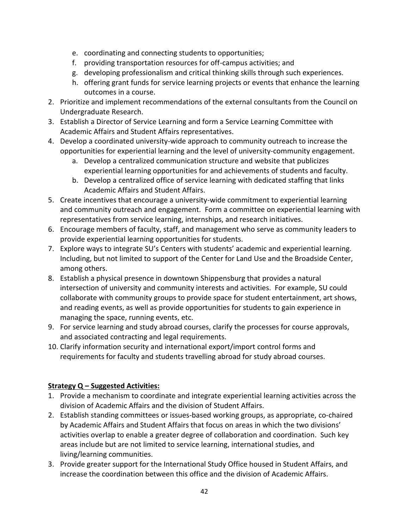- e. coordinating and connecting students to opportunities;
- f. providing transportation resources for off-campus activities; and
- g. developing professionalism and critical thinking skills through such experiences.
- h. offering grant funds for service learning projects or events that enhance the learning outcomes in a course.
- 2. Prioritize and implement recommendations of the external consultants from the Council on Undergraduate Research.
- 3. Establish a Director of Service Learning and form a Service Learning Committee with Academic Affairs and Student Affairs representatives.
- 4. Develop a coordinated university-wide approach to community outreach to increase the opportunities for experiential learning and the level of university-community engagement.
	- a. Develop a centralized communication structure and website that publicizes experiential learning opportunities for and achievements of students and faculty.
	- b. Develop a centralized office of service learning with dedicated staffing that links Academic Affairs and Student Affairs.
- 5. Create incentives that encourage a university-wide commitment to experiential learning and community outreach and engagement. Form a committee on experiential learning with representatives from service learning, internships, and research initiatives.
- 6. Encourage members of faculty, staff, and management who serve as community leaders to provide experiential learning opportunities for students.
- 7. Explore ways to integrate SU's Centers with students' academic and experiential learning. Including, but not limited to support of the Center for Land Use and the Broadside Center, among others.
- 8. Establish a physical presence in downtown Shippensburg that provides a natural intersection of university and community interests and activities. For example, SU could collaborate with community groups to provide space for student entertainment, art shows, and reading events, as well as provide opportunities for students to gain experience in managing the space, running events, etc.
- 9. For service learning and study abroad courses, clarify the processes for course approvals, and associated contracting and legal requirements.
- 10. Clarify information security and international export/import control forms and requirements for faculty and students travelling abroad for study abroad courses.

# **Strategy Q – Suggested Activities:**

- 1. Provide a mechanism to coordinate and integrate experiential learning activities across the division of Academic Affairs and the division of Student Affairs.
- 2. Establish standing committees or issues-based working groups, as appropriate, co-chaired by Academic Affairs and Student Affairs that focus on areas in which the two divisions' activities overlap to enable a greater degree of collaboration and coordination. Such key areas include but are not limited to service learning, international studies, and living/learning communities.
- 3. Provide greater support for the International Study Office housed in Student Affairs, and increase the coordination between this office and the division of Academic Affairs.